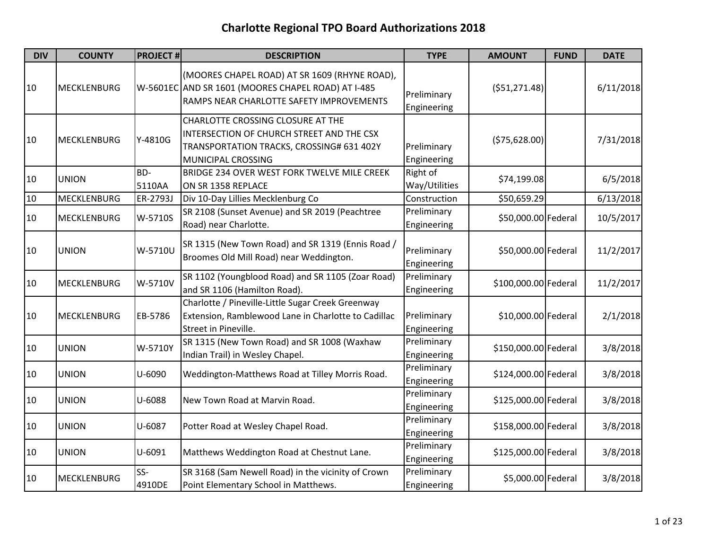| <b>DIV</b> | <b>COUNTY</b>      | <b>PROJECT#</b> | <b>DESCRIPTION</b>                                                                                                                                | <b>TYPE</b>                | <b>AMOUNT</b>        | <b>FUND</b> | <b>DATE</b> |
|------------|--------------------|-----------------|---------------------------------------------------------------------------------------------------------------------------------------------------|----------------------------|----------------------|-------------|-------------|
| 10         | <b>MECKLENBURG</b> |                 | (MOORES CHAPEL ROAD) AT SR 1609 (RHYNE ROAD),<br>W-5601EC AND SR 1601 (MOORES CHAPEL ROAD) AT I-485<br>RAMPS NEAR CHARLOTTE SAFETY IMPROVEMENTS   | Preliminary<br>Engineering | ( \$51, 271.48]      |             | 6/11/2018   |
| 10         | <b>MECKLENBURG</b> | Y-4810G         | CHARLOTTE CROSSING CLOSURE AT THE<br>INTERSECTION OF CHURCH STREET AND THE CSX<br>TRANSPORTATION TRACKS, CROSSING# 631 402Y<br>MUNICIPAL CROSSING | Preliminary<br>Engineering | ( \$75,628.00)       |             | 7/31/2018   |
| 10         | <b>UNION</b>       | BD-<br>5110AA   | BRIDGE 234 OVER WEST FORK TWELVE MILE CREEK<br>ON SR 1358 REPLACE                                                                                 | Right of<br>Way/Utilities  | \$74,199.08          |             | 6/5/2018    |
| 10         | <b>MECKLENBURG</b> | ER-2793J        | Div 10-Day Lillies Mecklenburg Co                                                                                                                 | Construction               | \$50,659.29          |             | 6/13/2018   |
| 10         | <b>MECKLENBURG</b> | W-5710S         | SR 2108 (Sunset Avenue) and SR 2019 (Peachtree<br>Road) near Charlotte.                                                                           | Preliminary<br>Engineering | \$50,000.00 Federal  |             | 10/5/2017   |
| 10         | <b>UNION</b>       | W-5710U         | SR 1315 (New Town Road) and SR 1319 (Ennis Road /<br>Broomes Old Mill Road) near Weddington.                                                      | Preliminary<br>Engineering | \$50,000.00 Federal  |             | 11/2/2017   |
| 10         | <b>MECKLENBURG</b> | W-5710V         | SR 1102 (Youngblood Road) and SR 1105 (Zoar Road)<br>and SR 1106 (Hamilton Road).                                                                 | Preliminary<br>Engineering | \$100,000.00 Federal |             | 11/2/2017   |
| 10         | MECKLENBURG        | EB-5786         | Charlotte / Pineville-Little Sugar Creek Greenway<br>Extension, Ramblewood Lane in Charlotte to Cadillac<br>Street in Pineville.                  | Preliminary<br>Engineering | \$10,000.00 Federal  |             | 2/1/2018    |
| 10         | <b>UNION</b>       | W-5710Y         | SR 1315 (New Town Road) and SR 1008 (Waxhaw<br>Indian Trail) in Wesley Chapel.                                                                    | Preliminary<br>Engineering | \$150,000.00 Federal |             | 3/8/2018    |
| 10         | <b>UNION</b>       | U-6090          | Weddington-Matthews Road at Tilley Morris Road.                                                                                                   | Preliminary<br>Engineering | \$124,000.00 Federal |             | 3/8/2018    |
| 10         | <b>UNION</b>       | U-6088          | New Town Road at Marvin Road.                                                                                                                     | Preliminary<br>Engineering | \$125,000.00 Federal |             | 3/8/2018    |
| 10         | <b>UNION</b>       | U-6087          | Potter Road at Wesley Chapel Road.                                                                                                                | Preliminary<br>Engineering | \$158,000.00 Federal |             | 3/8/2018    |
| 10         | <b>UNION</b>       | U-6091          | Matthews Weddington Road at Chestnut Lane.                                                                                                        | Preliminary<br>Engineering | \$125,000.00 Federal |             | 3/8/2018    |
| 10         | <b>MECKLENBURG</b> | $SS-$<br>4910DE | SR 3168 (Sam Newell Road) in the vicinity of Crown<br>Point Elementary School in Matthews.                                                        | Preliminary<br>Engineering | \$5,000.00 Federal   |             | 3/8/2018    |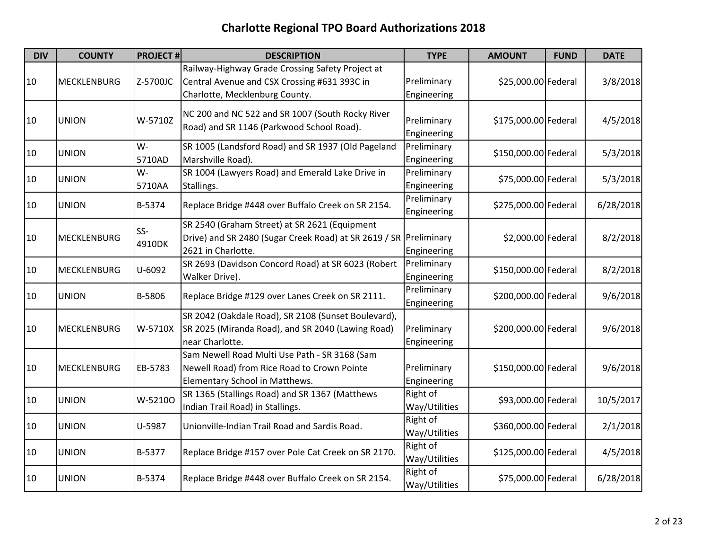| <b>DIV</b> | <b>COUNTY</b>      | <b>PROJECT#</b> | <b>DESCRIPTION</b>                                                                                                                       | <b>TYPE</b>                | <b>AMOUNT</b>        | <b>FUND</b> | <b>DATE</b> |
|------------|--------------------|-----------------|------------------------------------------------------------------------------------------------------------------------------------------|----------------------------|----------------------|-------------|-------------|
| 10         | <b>MECKLENBURG</b> | Z-5700JC        | Railway-Highway Grade Crossing Safety Project at<br>Central Avenue and CSX Crossing #631 393C in<br>Charlotte, Mecklenburg County.       | Preliminary<br>Engineering | \$25,000.00 Federal  |             | 3/8/2018    |
| 10         | <b>UNION</b>       | W-5710Z         | NC 200 and NC 522 and SR 1007 (South Rocky River<br>Road) and SR 1146 (Parkwood School Road).                                            | Preliminary<br>Engineering | \$175,000.00 Federal |             | 4/5/2018    |
| 10         | <b>UNION</b>       | W-<br>5710AD    | SR 1005 (Landsford Road) and SR 1937 (Old Pageland<br>Marshville Road).                                                                  | Preliminary<br>Engineering | \$150,000.00 Federal |             | 5/3/2018    |
| 10         | <b>UNION</b>       | W-<br>5710AA    | SR 1004 (Lawyers Road) and Emerald Lake Drive in<br>Stallings.                                                                           | Preliminary<br>Engineering | \$75,000.00 Federal  |             | 5/3/2018    |
| 10         | <b>UNION</b>       | B-5374          | Replace Bridge #448 over Buffalo Creek on SR 2154.                                                                                       | Preliminary<br>Engineering | \$275,000.00 Federal |             | 6/28/2018   |
| 10         | <b>MECKLENBURG</b> | SS-<br>4910DK   | SR 2540 (Graham Street) at SR 2621 (Equipment<br>Drive) and SR 2480 (Sugar Creek Road) at SR 2619 / SR Preliminary<br>2621 in Charlotte. | Engineering                | \$2,000.00 Federal   |             | 8/2/2018    |
| 10         | <b>MECKLENBURG</b> | U-6092          | SR 2693 (Davidson Concord Road) at SR 6023 (Robert<br>Walker Drive).                                                                     | Preliminary<br>Engineering | \$150,000.00 Federal |             | 8/2/2018    |
| 10         | <b>UNION</b>       | B-5806          | Replace Bridge #129 over Lanes Creek on SR 2111.                                                                                         | Preliminary<br>Engineering | \$200,000.00 Federal |             | 9/6/2018    |
| 10         | <b>MECKLENBURG</b> | W-5710X         | SR 2042 (Oakdale Road), SR 2108 (Sunset Boulevard),<br>SR 2025 (Miranda Road), and SR 2040 (Lawing Road)<br>near Charlotte.              | Preliminary<br>Engineering | \$200,000.00 Federal |             | 9/6/2018    |
| 10         | <b>MECKLENBURG</b> | EB-5783         | Sam Newell Road Multi Use Path - SR 3168 (Sam<br>Newell Road) from Rice Road to Crown Pointe<br>Elementary School in Matthews.           | Preliminary<br>Engineering | \$150,000.00 Federal |             | 9/6/2018    |
| 10         | <b>UNION</b>       | W-52100         | SR 1365 (Stallings Road) and SR 1367 (Matthews<br>Indian Trail Road) in Stallings.                                                       | Right of<br>Way/Utilities  | \$93,000.00 Federal  |             | 10/5/2017   |
| 10         | <b>UNION</b>       | U-5987          | Unionville-Indian Trail Road and Sardis Road.                                                                                            | Right of<br>Way/Utilities  | \$360,000.00 Federal |             | 2/1/2018    |
| 10         | <b>UNION</b>       | B-5377          | Replace Bridge #157 over Pole Cat Creek on SR 2170.                                                                                      | Right of<br>Way/Utilities  | \$125,000.00 Federal |             | 4/5/2018    |
| 10         | <b>UNION</b>       | B-5374          | Replace Bridge #448 over Buffalo Creek on SR 2154.                                                                                       | Right of<br>Way/Utilities  | \$75,000.00 Federal  |             | 6/28/2018   |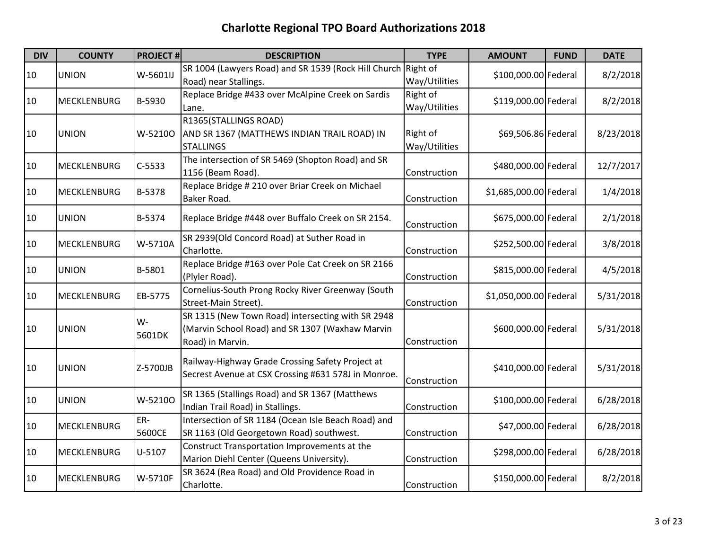| <b>DIV</b> | <b>COUNTY</b>      | <b>PROJECT#</b> | <b>DESCRIPTION</b>                                                                                                       | <b>TYPE</b>               | <b>AMOUNT</b>          | <b>FUND</b> | <b>DATE</b> |
|------------|--------------------|-----------------|--------------------------------------------------------------------------------------------------------------------------|---------------------------|------------------------|-------------|-------------|
| 10         | <b>UNION</b>       | W-5601IJ        | SR 1004 (Lawyers Road) and SR 1539 (Rock Hill Church Right of<br>Road) near Stallings.                                   | Way/Utilities             | \$100,000.00 Federal   |             | 8/2/2018    |
| 10         | <b>MECKLENBURG</b> | B-5930          | Replace Bridge #433 over McAlpine Creek on Sardis<br>Lane.                                                               | Right of<br>Way/Utilities | \$119,000.00 Federal   |             | 8/2/2018    |
| 10         | <b>UNION</b>       | W-5210O         | R1365(STALLINGS ROAD)<br>AND SR 1367 (MATTHEWS INDIAN TRAIL ROAD) IN<br><b>STALLINGS</b>                                 | Right of<br>Way/Utilities | \$69,506.86 Federal    |             | 8/23/2018   |
| 10         | <b>MECKLENBURG</b> | $C-5533$        | The intersection of SR 5469 (Shopton Road) and SR<br>1156 (Beam Road).                                                   | Construction              | \$480,000.00 Federal   |             | 12/7/2017   |
| 10         | <b>MECKLENBURG</b> | B-5378          | Replace Bridge # 210 over Briar Creek on Michael<br>Baker Road.                                                          | Construction              | \$1,685,000.00 Federal |             | 1/4/2018    |
| 10         | <b>UNION</b>       | B-5374          | Replace Bridge #448 over Buffalo Creek on SR 2154.                                                                       | Construction              | \$675,000.00 Federal   |             | 2/1/2018    |
| 10         | MECKLENBURG        | W-5710A         | SR 2939(Old Concord Road) at Suther Road in<br>Charlotte.                                                                | Construction              | \$252,500.00 Federal   |             | 3/8/2018    |
| 10         | <b>UNION</b>       | B-5801          | Replace Bridge #163 over Pole Cat Creek on SR 2166<br>(Plyler Road).                                                     | Construction              | \$815,000.00 Federal   |             | 4/5/2018    |
| 10         | <b>MECKLENBURG</b> | EB-5775         | Cornelius-South Prong Rocky River Greenway (South<br>Street-Main Street).                                                | Construction              | \$1,050,000.00 Federal |             | 5/31/2018   |
| 10         | <b>UNION</b>       | W-<br>5601DK    | SR 1315 (New Town Road) intersecting with SR 2948<br>(Marvin School Road) and SR 1307 (Waxhaw Marvin<br>Road) in Marvin. | Construction              | \$600,000.00 Federal   |             | 5/31/2018   |
| 10         | <b>UNION</b>       | Z-5700JB        | Railway-Highway Grade Crossing Safety Project at<br>Secrest Avenue at CSX Crossing #631 578J in Monroe.                  | Construction              | \$410,000.00 Federal   |             | 5/31/2018   |
| 10         | <b>UNION</b>       | W-52100         | SR 1365 (Stallings Road) and SR 1367 (Matthews<br>Indian Trail Road) in Stallings.                                       | Construction              | \$100,000.00 Federal   |             | 6/28/2018   |
| 10         | <b>MECKLENBURG</b> | ER-<br>5600CE   | Intersection of SR 1184 (Ocean Isle Beach Road) and<br>SR 1163 (Old Georgetown Road) southwest.                          | Construction              | \$47,000.00 Federal    |             | 6/28/2018   |
| 10         | <b>MECKLENBURG</b> | U-5107          | Construct Transportation Improvements at the<br>Marion Diehl Center (Queens University).                                 | Construction              | \$298,000.00 Federal   |             | 6/28/2018   |
| 10         | <b>MECKLENBURG</b> | W-5710F         | SR 3624 (Rea Road) and Old Providence Road in<br>Charlotte.                                                              | Construction              | \$150,000.00 Federal   |             | 8/2/2018    |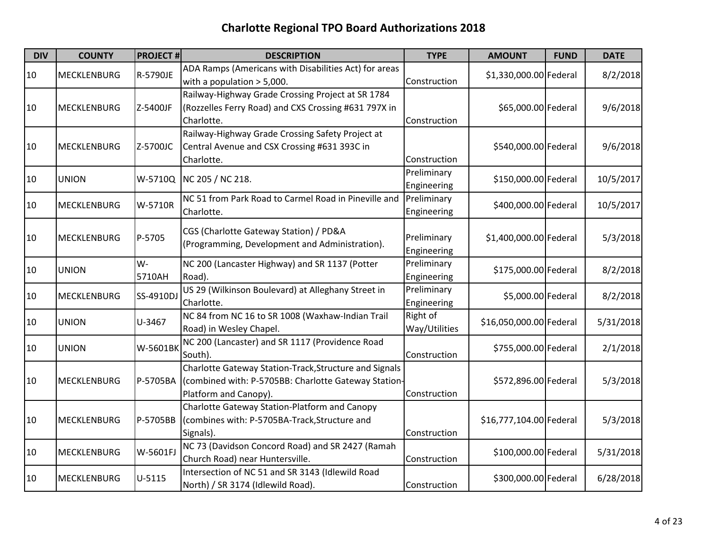| <b>DIV</b> | <b>COUNTY</b>      | <b>PROJECT#</b> | <b>DESCRIPTION</b>                                                                                                                      | <b>TYPE</b>                | <b>AMOUNT</b>           | <b>FUND</b> | <b>DATE</b> |
|------------|--------------------|-----------------|-----------------------------------------------------------------------------------------------------------------------------------------|----------------------------|-------------------------|-------------|-------------|
| 10         | MECKLENBURG        | R-5790JE        | ADA Ramps (Americans with Disabilities Act) for areas<br>with a population $>$ 5,000.                                                   | Construction               | \$1,330,000.00 Federal  |             | 8/2/2018    |
| 10         | <b>MECKLENBURG</b> | Z-5400JF        | Railway-Highway Grade Crossing Project at SR 1784<br>(Rozzelles Ferry Road) and CXS Crossing #631 797X in<br>Charlotte.                 | Construction               | \$65,000.00 Federal     |             | 9/6/2018    |
| 10         | <b>MECKLENBURG</b> | Z-5700JC        | Railway-Highway Grade Crossing Safety Project at<br>Central Avenue and CSX Crossing #631 393C in<br>Charlotte.                          | Construction               | \$540,000.00 Federal    |             | 9/6/2018    |
| 10         | <b>UNION</b>       | W-5710Q         | NC 205 / NC 218.                                                                                                                        | Preliminary<br>Engineering | \$150,000.00 Federal    |             | 10/5/2017   |
| 10         | <b>MECKLENBURG</b> | W-5710R         | NC 51 from Park Road to Carmel Road in Pineville and<br>Charlotte.                                                                      | Preliminary<br>Engineering | \$400,000.00 Federal    |             | 10/5/2017   |
| 10         | <b>MECKLENBURG</b> | P-5705          | CGS (Charlotte Gateway Station) / PD&A<br>(Programming, Development and Administration).                                                | Preliminary<br>Engineering | \$1,400,000.00 Federal  |             | 5/3/2018    |
| 10         | <b>UNION</b>       | W-<br>5710AH    | NC 200 (Lancaster Highway) and SR 1137 (Potter<br>Road).                                                                                | Preliminary<br>Engineering | \$175,000.00 Federal    |             | 8/2/2018    |
| 10         | <b>MECKLENBURG</b> | SS-4910D.       | US 29 (Wilkinson Boulevard) at Alleghany Street in<br>Charlotte.                                                                        | Preliminary<br>Engineering | \$5,000.00 Federal      |             | 8/2/2018    |
| 10         | <b>UNION</b>       | U-3467          | NC 84 from NC 16 to SR 1008 (Waxhaw-Indian Trail<br>Road) in Wesley Chapel.                                                             | Right of<br>Way/Utilities  | \$16,050,000.00 Federal |             | 5/31/2018   |
| 10         | <b>UNION</b>       | W-5601BK        | NC 200 (Lancaster) and SR 1117 (Providence Road<br>South).                                                                              | Construction               | \$755,000.00 Federal    |             | 2/1/2018    |
| 10         | <b>MECKLENBURG</b> | P-5705BA        | Charlotte Gateway Station-Track, Structure and Signals<br>(combined with: P-5705BB: Charlotte Gateway Station-<br>Platform and Canopy). | Construction               | \$572,896.00 Federal    |             | 5/3/2018    |
| 10         | <b>MECKLENBURG</b> | P-5705BB        | Charlotte Gateway Station-Platform and Canopy<br>(combines with: P-5705BA-Track, Structure and<br>Signals).                             | Construction               | \$16,777,104.00 Federal |             | 5/3/2018    |
| 10         | <b>MECKLENBURG</b> | W-5601FJ        | NC 73 (Davidson Concord Road) and SR 2427 (Ramah<br>Church Road) near Huntersville.                                                     | Construction               | \$100,000.00 Federal    |             | 5/31/2018   |
| 10         | <b>MECKLENBURG</b> | U-5115          | Intersection of NC 51 and SR 3143 (Idlewild Road<br>North) / SR 3174 (Idlewild Road).                                                   | Construction               | \$300,000.00 Federal    |             | 6/28/2018   |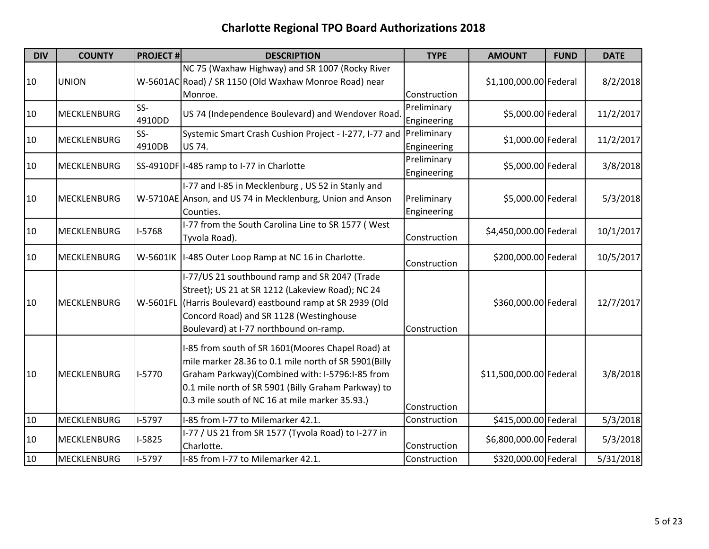| <b>DIV</b> | <b>COUNTY</b>      | <b>PROJECT#</b> | <b>DESCRIPTION</b>                                                                                                                                                                                                                                                    | <b>TYPE</b>                | <b>AMOUNT</b>           | <b>FUND</b> | <b>DATE</b> |
|------------|--------------------|-----------------|-----------------------------------------------------------------------------------------------------------------------------------------------------------------------------------------------------------------------------------------------------------------------|----------------------------|-------------------------|-------------|-------------|
| 10         | <b>UNION</b>       |                 | NC 75 (Waxhaw Highway) and SR 1007 (Rocky River<br>W-5601AC Road) / SR 1150 (Old Waxhaw Monroe Road) near                                                                                                                                                             |                            | \$1,100,000.00 Federal  |             | 8/2/2018    |
|            |                    |                 | Monroe.                                                                                                                                                                                                                                                               | Construction               |                         |             |             |
| 10         | <b>MECKLENBURG</b> | $SS-$<br>4910DD | US 74 (Independence Boulevard) and Wendover Road                                                                                                                                                                                                                      | Preliminary<br>Engineering | \$5,000.00 Federal      |             | 11/2/2017   |
| 10         | <b>MECKLENBURG</b> | SS-<br>4910DB   | Systemic Smart Crash Cushion Project - I-277, I-77 and<br>US 74.                                                                                                                                                                                                      | Preliminary<br>Engineering | \$1,000.00 Federal      |             | 11/2/2017   |
| 10         | <b>MECKLENBURG</b> |                 | SS-4910DF I-485 ramp to I-77 in Charlotte                                                                                                                                                                                                                             | Preliminary<br>Engineering | \$5,000.00 Federal      |             | 3/8/2018    |
| 10         | <b>MECKLENBURG</b> |                 | I-77 and I-85 in Mecklenburg, US 52 in Stanly and<br>W-5710AE Anson, and US 74 in Mecklenburg, Union and Anson<br>Counties.                                                                                                                                           | Preliminary<br>Engineering | \$5,000.00 Federal      |             | 5/3/2018    |
| 10         | <b>MECKLENBURG</b> | I-5768          | I-77 from the South Carolina Line to SR 1577 (West<br>Tyvola Road).                                                                                                                                                                                                   | Construction               | \$4,450,000.00 Federal  |             | 10/1/2017   |
| 10         | <b>MECKLENBURG</b> |                 | W-5601IK  I-485 Outer Loop Ramp at NC 16 in Charlotte.                                                                                                                                                                                                                | Construction               | \$200,000.00 Federal    |             | 10/5/2017   |
| 10         | <b>MECKLENBURG</b> |                 | I-77/US 21 southbound ramp and SR 2047 (Trade<br>Street); US 21 at SR 1212 (Lakeview Road); NC 24<br>W-5601FL (Harris Boulevard) eastbound ramp at SR 2939 (Old<br>Concord Road) and SR 1128 (Westinghouse<br>Boulevard) at I-77 northbound on-ramp.                  | Construction               | \$360,000.00 Federal    |             | 12/7/2017   |
| 10         | <b>MECKLENBURG</b> | $I-5770$        | I-85 from south of SR 1601(Moores Chapel Road) at<br>mile marker 28.36 to 0.1 mile north of SR 5901(Billy<br>Graham Parkway)(Combined with: I-5796:I-85 from<br>0.1 mile north of SR 5901 (Billy Graham Parkway) to<br>0.3 mile south of NC 16 at mile marker 35.93.) | Construction               | \$11,500,000.00 Federal |             | 3/8/2018    |
| 10         | <b>MECKLENBURG</b> | $I-5797$        | I-85 from I-77 to Milemarker 42.1.                                                                                                                                                                                                                                    | Construction               | \$415,000.00 Federal    |             | 5/3/2018    |
| 10         | <b>MECKLENBURG</b> | $I-5825$        | I-77 / US 21 from SR 1577 (Tyvola Road) to I-277 in<br>Charlotte.                                                                                                                                                                                                     | Construction               | \$6,800,000.00 Federal  |             | 5/3/2018    |
| 10         | <b>MECKLENBURG</b> | $I-5797$        | I-85 from I-77 to Milemarker 42.1.                                                                                                                                                                                                                                    | Construction               | \$320,000.00 Federal    |             | 5/31/2018   |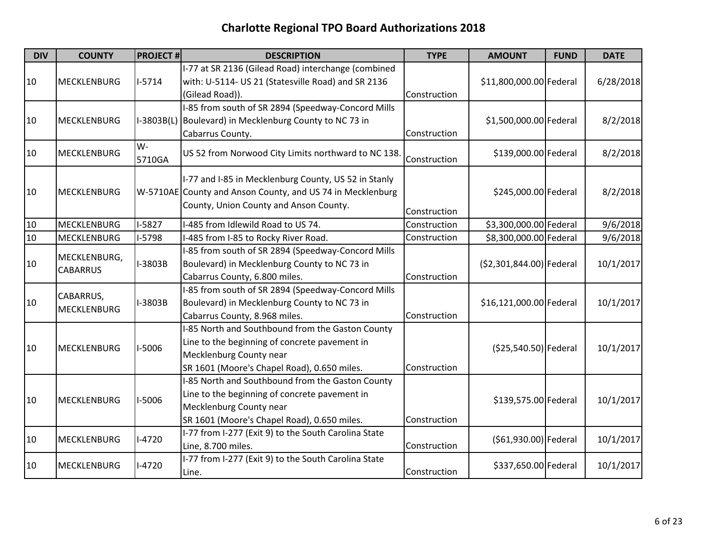| <b>DIV</b> | <b>COUNTY</b>                   | <b>PROJECT#</b> | <b>DESCRIPTION</b>                                                                                                                                                          | <b>TYPE</b>  | <b>AMOUNT</b>            | <b>FUND</b> | <b>DATE</b> |
|------------|---------------------------------|-----------------|-----------------------------------------------------------------------------------------------------------------------------------------------------------------------------|--------------|--------------------------|-------------|-------------|
| 10         | <b>MECKLENBURG</b>              | $I-5714$        | I-77 at SR 2136 (Gilead Road) interchange (combined<br>with: U-5114- US 21 (Statesville Road) and SR 2136<br>(Gilead Road)).                                                | Construction | \$11,800,000.00 Federal  |             | 6/28/2018   |
| 10         | <b>MECKLENBURG</b>              | $I-3803B(L)$    | I-85 from south of SR 2894 (Speedway-Concord Mills<br>Boulevard) in Mecklenburg County to NC 73 in<br>Cabarrus County.                                                      | Construction | \$1,500,000.00 Federal   |             | 8/2/2018    |
| 10         | <b>MECKLENBURG</b>              | W-<br>5710GA    | US 52 from Norwood City Limits northward to NC 138.                                                                                                                         | Construction | \$139,000.00 Federal     |             | 8/2/2018    |
| 10         | <b>MECKLENBURG</b>              |                 | I-77 and I-85 in Mecklenburg County, US 52 in Stanly<br>W-5710AE County and Anson County, and US 74 in Mecklenburg<br>County, Union County and Anson County.                | Construction | \$245,000.00 Federal     |             | 8/2/2018    |
| 10         | <b>MECKLENBURG</b>              | $I-5827$        | I-485 from Idlewild Road to US 74.                                                                                                                                          | Construction | \$3,300,000.00 Federal   |             | 9/6/2018    |
| 10         | <b>MECKLENBURG</b>              | $I-5798$        | I-485 from I-85 to Rocky River Road.                                                                                                                                        | Construction | \$8,300,000.00 Federal   |             | 9/6/2018    |
| 10         | MECKLENBURG,<br><b>CABARRUS</b> | I-3803B         | I-85 from south of SR 2894 (Speedway-Concord Mills<br>Boulevard) in Mecklenburg County to NC 73 in<br>Cabarrus County, 6.800 miles.                                         | Construction | (\$2,301,844.00) Federal |             | 10/1/2017   |
| 10         | CABARRUS,<br><b>MECKLENBURG</b> | I-3803B         | I-85 from south of SR 2894 (Speedway-Concord Mills<br>Boulevard) in Mecklenburg County to NC 73 in<br>Cabarrus County, 8.968 miles.                                         | Construction | \$16,121,000.00 Federal  |             | 10/1/2017   |
| 10         | <b>MECKLENBURG</b>              | I-5006          | I-85 North and Southbound from the Gaston County<br>Line to the beginning of concrete pavement in<br>Mecklenburg County near<br>SR 1601 (Moore's Chapel Road), 0.650 miles. | Construction | (\$25,540.50) Federal    |             | 10/1/2017   |
| 10         | <b>MECKLENBURG</b>              | I-5006          | I-85 North and Southbound from the Gaston County<br>Line to the beginning of concrete pavement in<br>Mecklenburg County near<br>SR 1601 (Moore's Chapel Road), 0.650 miles. | Construction | \$139,575.00 Federal     |             | 10/1/2017   |
| 10         | <b>MECKLENBURG</b>              | $I-4720$        | I-77 from I-277 (Exit 9) to the South Carolina State<br>Line, 8.700 miles.                                                                                                  | Construction | (\$61,930.00) Federal    |             | 10/1/2017   |
| 10         | <b>MECKLENBURG</b>              | $I-4720$        | I-77 from I-277 (Exit 9) to the South Carolina State<br>Line.                                                                                                               | Construction | \$337,650.00 Federal     |             | 10/1/2017   |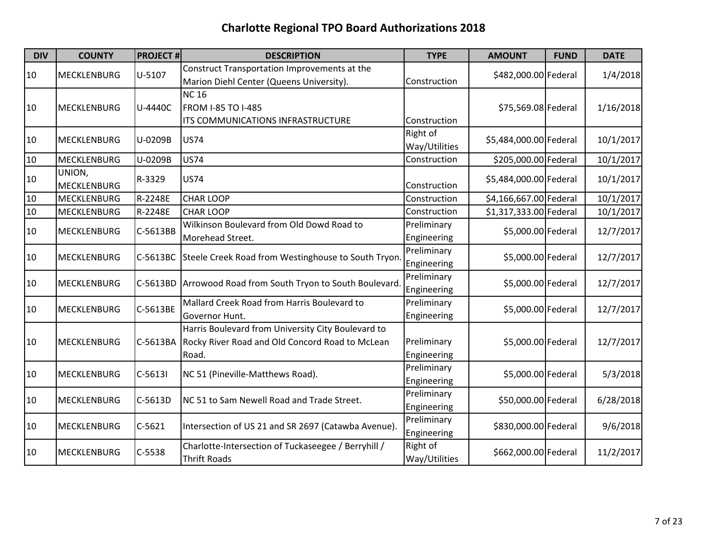| <b>DIV</b> | <b>COUNTY</b>      | <b>PROJECT#</b> | <b>DESCRIPTION</b>                                  | <b>TYPE</b>   | <b>AMOUNT</b>          | <b>FUND</b> | <b>DATE</b> |
|------------|--------------------|-----------------|-----------------------------------------------------|---------------|------------------------|-------------|-------------|
|            | <b>MECKLENBURG</b> | U-5107          | Construct Transportation Improvements at the        |               |                        |             | 1/4/2018    |
| 10         |                    |                 | Marion Diehl Center (Queens University).            | Construction  | \$482,000.00 Federal   |             |             |
|            |                    |                 | <b>NC16</b>                                         |               |                        |             |             |
| 10         | <b>MECKLENBURG</b> | U-4440C         | <b>FROM I-85 TO I-485</b>                           |               | \$75,569.08 Federal    |             | 1/16/2018   |
|            |                    |                 | ITS COMMUNICATIONS INFRASTRUCTURE                   | Construction  |                        |             |             |
| 10         | MECKLENBURG        | U-0209B         | <b>US74</b>                                         | Right of      | \$5,484,000.00 Federal |             | 10/1/2017   |
|            |                    |                 |                                                     | Way/Utilities |                        |             |             |
| 10         | <b>MECKLENBURG</b> | U-0209B         | <b>US74</b>                                         | Construction  | \$205,000.00 Federal   |             | 10/1/2017   |
| 10         | UNION,             | R-3329          | <b>US74</b>                                         |               | \$5,484,000.00 Federal |             | 10/1/2017   |
|            | <b>MECKLENBURG</b> |                 |                                                     | Construction  |                        |             |             |
| 10         | MECKLENBURG        | R-2248E         | <b>CHAR LOOP</b>                                    | Construction  | \$4,166,667.00 Federal |             | 10/1/2017   |
| 10         | MECKLENBURG        | R-2248E         | <b>CHAR LOOP</b>                                    | Construction  | \$1,317,333.00 Federal |             | 10/1/2017   |
| 10         | <b>MECKLENBURG</b> | C-5613BB        | Wilkinson Boulevard from Old Dowd Road to           | Preliminary   | \$5,000.00 Federal     |             | 12/7/2017   |
|            |                    |                 | Morehead Street.                                    | Engineering   |                        |             |             |
| 10         | MECKLENBURG        | C-5613BC        | Steele Creek Road from Westinghouse to South Tryon  | Preliminary   | \$5,000.00 Federal     |             | 12/7/2017   |
|            |                    |                 |                                                     | Engineering   |                        |             |             |
| 10         | <b>MECKLENBURG</b> | C-5613BD        | Arrowood Road from South Tryon to South Boulevard.  | Preliminary   | \$5,000.00 Federal     |             | 12/7/2017   |
|            |                    |                 |                                                     | Engineering   |                        |             |             |
| 10         | <b>MECKLENBURG</b> | C-5613BE        | Mallard Creek Road from Harris Boulevard to         | Preliminary   | \$5,000.00 Federal     |             | 12/7/2017   |
|            |                    |                 | Governor Hunt.                                      | Engineering   |                        |             |             |
|            |                    |                 | Harris Boulevard from University City Boulevard to  |               |                        |             |             |
| 10         | <b>MECKLENBURG</b> | C-5613BA        | Rocky River Road and Old Concord Road to McLean     | Preliminary   | \$5,000.00 Federal     |             | 12/7/2017   |
|            |                    |                 | Road.                                               | Engineering   |                        |             |             |
| 10         | MECKLENBURG        | $C-5613I$       | NC 51 (Pineville-Matthews Road).                    | Preliminary   | \$5,000.00 Federal     |             | 5/3/2018    |
|            |                    |                 |                                                     | Engineering   |                        |             |             |
| 10         | <b>MECKLENBURG</b> | C-5613D         | NC 51 to Sam Newell Road and Trade Street.          | Preliminary   | \$50,000.00 Federal    |             | 6/28/2018   |
|            |                    |                 |                                                     | Engineering   |                        |             |             |
| 10         | MECKLENBURG        | $C-5621$        | Intersection of US 21 and SR 2697 (Catawba Avenue). | Preliminary   | \$830,000.00 Federal   |             | 9/6/2018    |
|            |                    |                 |                                                     | Engineering   |                        |             |             |
| 10         | MECKLENBURG        | $C-5538$        | Charlotte-Intersection of Tuckaseegee / Berryhill / | Right of      | \$662,000.00 Federal   |             | 11/2/2017   |
|            |                    |                 | <b>Thrift Roads</b>                                 | Way/Utilities |                        |             |             |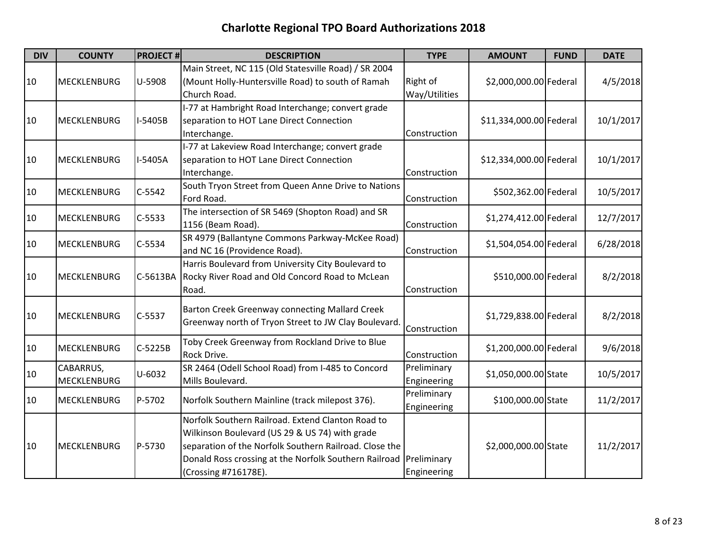| <b>DIV</b> | <b>COUNTY</b>      | <b>PROJECT#</b> | <b>DESCRIPTION</b>                                     | <b>TYPE</b>   | <b>AMOUNT</b>           | <b>FUND</b> | <b>DATE</b> |
|------------|--------------------|-----------------|--------------------------------------------------------|---------------|-------------------------|-------------|-------------|
|            |                    |                 | Main Street, NC 115 (Old Statesville Road) / SR 2004   |               |                         |             |             |
| 10         | <b>MECKLENBURG</b> | U-5908          | (Mount Holly-Huntersville Road) to south of Ramah      | Right of      | \$2,000,000.00 Federal  |             | 4/5/2018    |
|            |                    |                 | Church Road.                                           | Way/Utilities |                         |             |             |
|            |                    |                 | I-77 at Hambright Road Interchange; convert grade      |               |                         |             |             |
| 10         | <b>MECKLENBURG</b> | I-5405B         | separation to HOT Lane Direct Connection               |               | \$11,334,000.00 Federal |             | 10/1/2017   |
|            |                    |                 | Interchange.                                           | Construction  |                         |             |             |
|            |                    |                 | I-77 at Lakeview Road Interchange; convert grade       |               |                         |             |             |
| 10         | <b>MECKLENBURG</b> | I-5405A         | separation to HOT Lane Direct Connection               |               | \$12,334,000.00 Federal |             | 10/1/2017   |
|            |                    |                 | Interchange.                                           | Construction  |                         |             |             |
| 10         | <b>MECKLENBURG</b> | $C-5542$        | South Tryon Street from Queen Anne Drive to Nations    |               | \$502,362.00 Federal    |             | 10/5/2017   |
|            |                    |                 | Ford Road.                                             | Construction  |                         |             |             |
| 10         | <b>MECKLENBURG</b> | $C-5533$        | The intersection of SR 5469 (Shopton Road) and SR      |               | \$1,274,412.00 Federal  |             | 12/7/2017   |
|            |                    |                 | 1156 (Beam Road).                                      | Construction  |                         |             |             |
| 10         | <b>MECKLENBURG</b> | C-5534          | SR 4979 (Ballantyne Commons Parkway-McKee Road)        |               | \$1,504,054.00 Federal  |             | 6/28/2018   |
|            |                    |                 | and NC 16 (Providence Road).                           | Construction  |                         |             |             |
|            |                    |                 | Harris Boulevard from University City Boulevard to     |               |                         |             |             |
| 10         | <b>MECKLENBURG</b> | C-5613BA        | Rocky River Road and Old Concord Road to McLean        |               | \$510,000.00 Federal    |             | 8/2/2018    |
|            |                    |                 | Road.                                                  | Construction  |                         |             |             |
|            |                    |                 | Barton Creek Greenway connecting Mallard Creek         |               |                         |             |             |
| 10         | <b>MECKLENBURG</b> | C-5537          | Greenway north of Tryon Street to JW Clay Boulevard    |               | \$1,729,838.00 Federal  |             | 8/2/2018    |
|            |                    |                 |                                                        | Construction  |                         |             |             |
| 10         | <b>MECKLENBURG</b> | C-5225B         | Toby Creek Greenway from Rockland Drive to Blue        |               | \$1,200,000.00 Federal  |             | 9/6/2018    |
|            |                    |                 | Rock Drive.                                            | Construction  |                         |             |             |
| 10         | CABARRUS,          | U-6032          | SR 2464 (Odell School Road) from I-485 to Concord      | Preliminary   | \$1,050,000.00 State    |             | 10/5/2017   |
|            | MECKLENBURG        |                 | Mills Boulevard.                                       | Engineering   |                         |             |             |
| 10         | <b>MECKLENBURG</b> | P-5702          | Norfolk Southern Mainline (track milepost 376).        | Preliminary   | \$100,000.00 State      |             | 11/2/2017   |
|            |                    |                 |                                                        | Engineering   |                         |             |             |
|            |                    |                 | Norfolk Southern Railroad. Extend Clanton Road to      |               |                         |             |             |
|            |                    |                 | Wilkinson Boulevard (US 29 & US 74) with grade         |               |                         |             |             |
| 10         | <b>MECKLENBURG</b> | P-5730          | separation of the Norfolk Southern Railroad. Close the |               | \$2,000,000.00 State    |             | 11/2/2017   |
|            |                    |                 | Donald Ross crossing at the Norfolk Southern Railroad  | Preliminary   |                         |             |             |
|            |                    |                 | (Crossing #716178E).                                   | Engineering   |                         |             |             |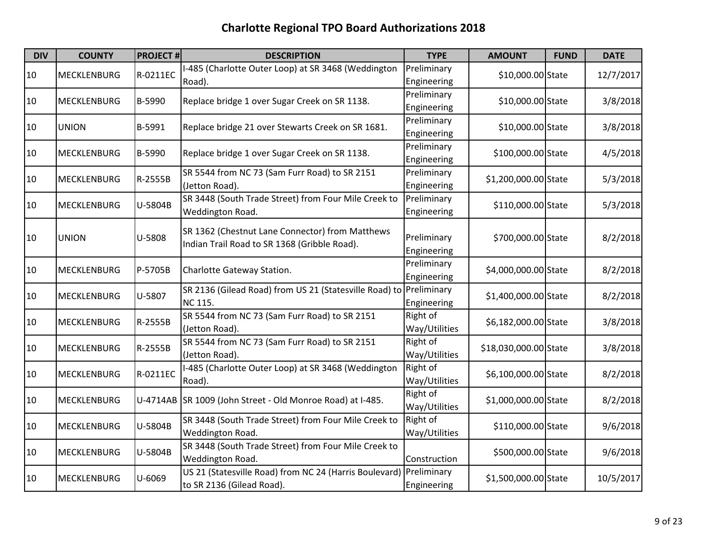| <b>DIV</b> | <b>COUNTY</b>      | <b>PROJECT#</b> | <b>DESCRIPTION</b>                                                                              | <b>TYPE</b>                | <b>AMOUNT</b>         | <b>FUND</b> | <b>DATE</b> |
|------------|--------------------|-----------------|-------------------------------------------------------------------------------------------------|----------------------------|-----------------------|-------------|-------------|
| 10         | MECKLENBURG        | R-0211EC        | I-485 (Charlotte Outer Loop) at SR 3468 (Weddington<br>Road).                                   | Preliminary<br>Engineering | \$10,000.00 State     |             | 12/7/2017   |
| 10         | <b>MECKLENBURG</b> | B-5990          | Replace bridge 1 over Sugar Creek on SR 1138.                                                   | Preliminary<br>Engineering | \$10,000.00 State     |             | 3/8/2018    |
| 10         | <b>UNION</b>       | B-5991          | Replace bridge 21 over Stewarts Creek on SR 1681.                                               | Preliminary<br>Engineering | \$10,000.00 State     |             | 3/8/2018    |
| 10         | <b>MECKLENBURG</b> | B-5990          | Replace bridge 1 over Sugar Creek on SR 1138.                                                   | Preliminary<br>Engineering | \$100,000.00 State    |             | 4/5/2018    |
| 10         | <b>MECKLENBURG</b> | R-2555B         | SR 5544 from NC 73 (Sam Furr Road) to SR 2151<br>(Jetton Road).                                 | Preliminary<br>Engineering | \$1,200,000.00 State  |             | 5/3/2018    |
| 10         | <b>MECKLENBURG</b> | U-5804B         | SR 3448 (South Trade Street) from Four Mile Creek to<br>Weddington Road.                        | Preliminary<br>Engineering | \$110,000.00 State    |             | 5/3/2018    |
| 10         | <b>UNION</b>       | U-5808          | SR 1362 (Chestnut Lane Connector) from Matthews<br>Indian Trail Road to SR 1368 (Gribble Road). | Preliminary<br>Engineering | \$700,000.00 State    |             | 8/2/2018    |
| 10         | <b>MECKLENBURG</b> | P-5705B         | Charlotte Gateway Station.                                                                      | Preliminary<br>Engineering | \$4,000,000.00 State  |             | 8/2/2018    |
| 10         | <b>MECKLENBURG</b> | U-5807          | SR 2136 (Gilead Road) from US 21 (Statesville Road) to Preliminary<br><b>NC 115.</b>            | Engineering                | \$1,400,000.00 State  |             | 8/2/2018    |
| 10         | <b>MECKLENBURG</b> | R-2555B         | SR 5544 from NC 73 (Sam Furr Road) to SR 2151<br>(Jetton Road).                                 | Right of<br>Way/Utilities  | \$6,182,000.00 State  |             | 3/8/2018    |
| 10         | <b>MECKLENBURG</b> | R-2555B         | SR 5544 from NC 73 (Sam Furr Road) to SR 2151<br>(Jetton Road).                                 | Right of<br>Way/Utilities  | \$18,030,000.00 State |             | 3/8/2018    |
| 10         | <b>MECKLENBURG</b> | R-0211EC        | I-485 (Charlotte Outer Loop) at SR 3468 (Weddington<br>Road).                                   | Right of<br>Way/Utilities  | \$6,100,000.00 State  |             | 8/2/2018    |
| 10         | <b>MECKLENBURG</b> |                 | U-4714AB SR 1009 (John Street - Old Monroe Road) at I-485.                                      | Right of<br>Way/Utilities  | \$1,000,000.00 State  |             | 8/2/2018    |
| 10         | <b>MECKLENBURG</b> | U-5804B         | SR 3448 (South Trade Street) from Four Mile Creek to<br>Weddington Road.                        | Right of<br>Way/Utilities  | \$110,000.00 State    |             | 9/6/2018    |
| 10         | <b>MECKLENBURG</b> | U-5804B         | SR 3448 (South Trade Street) from Four Mile Creek to<br>Weddington Road.                        | Construction               | \$500,000.00 State    |             | 9/6/2018    |
| 10         | <b>MECKLENBURG</b> | U-6069          | US 21 (Statesville Road) from NC 24 (Harris Boulevard)<br>to SR 2136 (Gilead Road).             | Preliminary<br>Engineering | \$1,500,000.00 State  |             | 10/5/2017   |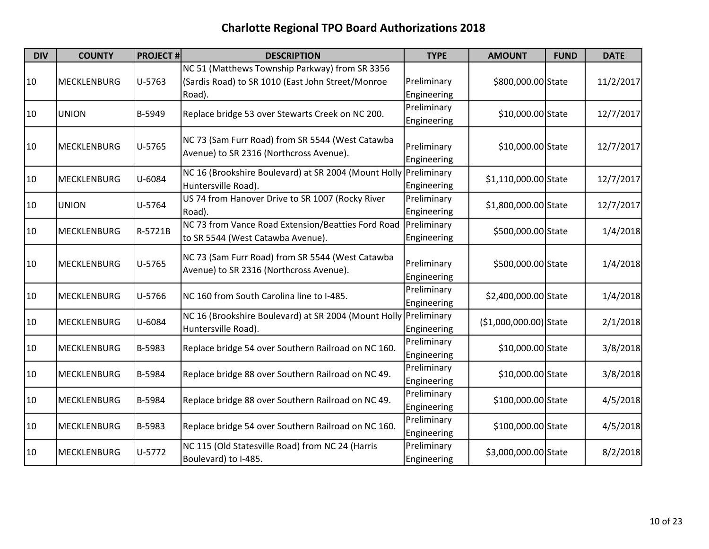| <b>DIV</b> | <b>COUNTY</b>      | <b>PROJECT#</b> | <b>DESCRIPTION</b>                                                                          | <b>TYPE</b> | <b>AMOUNT</b>          | <b>FUND</b> | <b>DATE</b> |
|------------|--------------------|-----------------|---------------------------------------------------------------------------------------------|-------------|------------------------|-------------|-------------|
|            |                    |                 | NC 51 (Matthews Township Parkway) from SR 3356                                              |             |                        |             |             |
| 10         | <b>MECKLENBURG</b> | U-5763          | (Sardis Road) to SR 1010 (East John Street/Monroe                                           | Preliminary | \$800,000.00 State     |             | 11/2/2017   |
|            |                    |                 | Road).                                                                                      | Engineering |                        |             |             |
| 10         | <b>UNION</b>       | B-5949          | Replace bridge 53 over Stewarts Creek on NC 200.                                            | Preliminary | \$10,000.00 State      |             | 12/7/2017   |
|            |                    |                 |                                                                                             | Engineering |                        |             |             |
|            |                    |                 | NC 73 (Sam Furr Road) from SR 5544 (West Catawba                                            |             |                        |             |             |
| 10         | <b>MECKLENBURG</b> | U-5765          | Avenue) to SR 2316 (Northcross Avenue).                                                     | Preliminary | \$10,000.00 State      |             | 12/7/2017   |
|            |                    |                 |                                                                                             | Engineering |                        |             |             |
| 10         | <b>MECKLENBURG</b> | U-6084          | NC 16 (Brookshire Boulevard) at SR 2004 (Mount Holly                                        | Preliminary | \$1,110,000.00 State   |             | 12/7/2017   |
|            |                    |                 | Huntersville Road).                                                                         | Engineering |                        |             |             |
| 10         | <b>UNION</b>       | U-5764          | US 74 from Hanover Drive to SR 1007 (Rocky River                                            | Preliminary | \$1,800,000.00 State   |             | 12/7/2017   |
|            |                    |                 | Road).                                                                                      | Engineering |                        |             |             |
| 10         | <b>MECKLENBURG</b> | R-5721B         | NC 73 from Vance Road Extension/Beatties Ford Road                                          | Preliminary | \$500,000.00 State     |             | 1/4/2018    |
|            |                    |                 | to SR 5544 (West Catawba Avenue).                                                           | Engineering |                        |             |             |
|            |                    |                 | NC 73 (Sam Furr Road) from SR 5544 (West Catawba<br>Avenue) to SR 2316 (Northcross Avenue). |             |                        |             |             |
| 10         | <b>MECKLENBURG</b> | U-5765          |                                                                                             | Preliminary | \$500,000.00 State     |             | 1/4/2018    |
|            |                    |                 |                                                                                             | Engineering |                        |             |             |
| 10         | <b>MECKLENBURG</b> | U-5766          | NC 160 from South Carolina line to I-485.                                                   | Preliminary | \$2,400,000.00 State   |             | 1/4/2018    |
|            |                    |                 |                                                                                             | Engineering |                        |             |             |
| 10         | <b>MECKLENBURG</b> | U-6084          | NC 16 (Brookshire Boulevard) at SR 2004 (Mount Holly Preliminary                            |             | (\$1,000,000.00) State |             | 2/1/2018    |
|            |                    |                 | Huntersville Road).                                                                         | Engineering |                        |             |             |
| 10         | <b>MECKLENBURG</b> | B-5983          | Replace bridge 54 over Southern Railroad on NC 160.                                         | Preliminary | \$10,000.00 State      |             | 3/8/2018    |
|            |                    |                 |                                                                                             | Engineering |                        |             |             |
| 10         | <b>MECKLENBURG</b> | B-5984          | Replace bridge 88 over Southern Railroad on NC 49.                                          | Preliminary | \$10,000.00 State      |             | 3/8/2018    |
|            |                    |                 |                                                                                             | Engineering |                        |             |             |
| 10         | <b>MECKLENBURG</b> | B-5984          | Replace bridge 88 over Southern Railroad on NC 49.                                          | Preliminary | \$100,000.00 State     |             | 4/5/2018    |
|            |                    |                 |                                                                                             | Engineering |                        |             |             |
| 10         | <b>MECKLENBURG</b> | B-5983          | Replace bridge 54 over Southern Railroad on NC 160.                                         | Preliminary | \$100,000.00 State     |             | 4/5/2018    |
|            |                    |                 |                                                                                             | Engineering |                        |             |             |
| 10         | <b>MECKLENBURG</b> | U-5772          | NC 115 (Old Statesville Road) from NC 24 (Harris                                            | Preliminary | \$3,000,000.00 State   |             | 8/2/2018    |
|            |                    |                 | Boulevard) to I-485.                                                                        | Engineering |                        |             |             |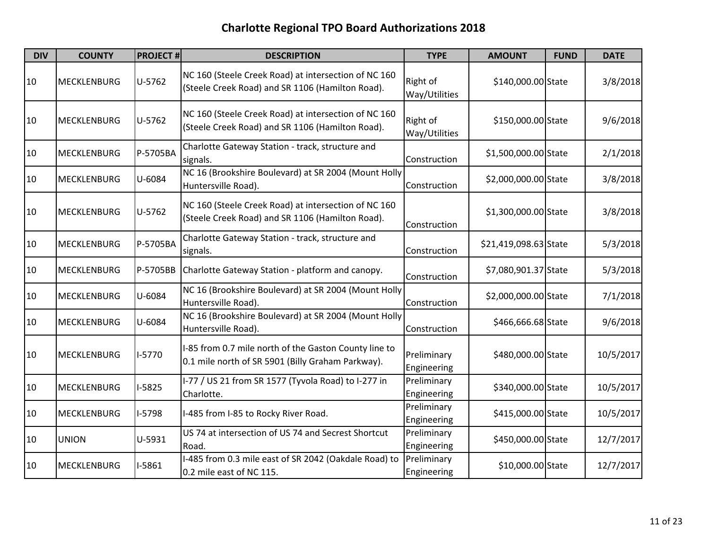| <b>DIV</b> | <b>COUNTY</b>      | <b>PROJECT#</b> | <b>DESCRIPTION</b>                                                                                         | <b>TYPE</b>                | <b>AMOUNT</b>         | <b>FUND</b> | <b>DATE</b> |
|------------|--------------------|-----------------|------------------------------------------------------------------------------------------------------------|----------------------------|-----------------------|-------------|-------------|
| 10         | <b>MECKLENBURG</b> | U-5762          | NC 160 (Steele Creek Road) at intersection of NC 160<br>(Steele Creek Road) and SR 1106 (Hamilton Road).   | Right of<br>Way/Utilities  | \$140,000.00 State    |             | 3/8/2018    |
| 10         | <b>MECKLENBURG</b> | U-5762          | NC 160 (Steele Creek Road) at intersection of NC 160<br>(Steele Creek Road) and SR 1106 (Hamilton Road).   | Right of<br>Way/Utilities  | \$150,000.00 State    |             | 9/6/2018    |
| 10         | <b>MECKLENBURG</b> | P-5705BA        | Charlotte Gateway Station - track, structure and<br>signals.                                               | Construction               | \$1,500,000.00 State  |             | 2/1/2018    |
| 10         | <b>MECKLENBURG</b> | U-6084          | NC 16 (Brookshire Boulevard) at SR 2004 (Mount Holly<br>Huntersville Road).                                | Construction               | \$2,000,000.00 State  |             | 3/8/2018    |
| 10         | <b>MECKLENBURG</b> | U-5762          | NC 160 (Steele Creek Road) at intersection of NC 160<br>(Steele Creek Road) and SR 1106 (Hamilton Road).   | Construction               | \$1,300,000.00 State  |             | 3/8/2018    |
| 10         | <b>MECKLENBURG</b> | P-5705BA        | Charlotte Gateway Station - track, structure and<br>signals.                                               | Construction               | \$21,419,098.63 State |             | 5/3/2018    |
| 10         | <b>MECKLENBURG</b> | P-5705BB        | Charlotte Gateway Station - platform and canopy.                                                           | Construction               | \$7,080,901.37 State  |             | 5/3/2018    |
| 10         | <b>MECKLENBURG</b> | U-6084          | NC 16 (Brookshire Boulevard) at SR 2004 (Mount Holly<br>Huntersville Road).                                | Construction               | \$2,000,000.00 State  |             | 7/1/2018    |
| 10         | <b>MECKLENBURG</b> | U-6084          | NC 16 (Brookshire Boulevard) at SR 2004 (Mount Holly<br>Huntersville Road).                                | Construction               | \$466,666.68 State    |             | 9/6/2018    |
| 10         | <b>MECKLENBURG</b> | $1-5770$        | I-85 from 0.7 mile north of the Gaston County line to<br>0.1 mile north of SR 5901 (Billy Graham Parkway). | Preliminary<br>Engineering | \$480,000.00 State    |             | 10/5/2017   |
| 10         | <b>MECKLENBURG</b> | $I-5825$        | I-77 / US 21 from SR 1577 (Tyvola Road) to I-277 in<br>Charlotte.                                          | Preliminary<br>Engineering | \$340,000.00 State    |             | 10/5/2017   |
| 10         | <b>MECKLENBURG</b> | I-5798          | I-485 from I-85 to Rocky River Road.                                                                       | Preliminary<br>Engineering | \$415,000.00 State    |             | 10/5/2017   |
| 10         | <b>UNION</b>       | U-5931          | US 74 at intersection of US 74 and Secrest Shortcut<br>Road.                                               | Preliminary<br>Engineering | \$450,000.00 State    |             | 12/7/2017   |
| 10         | <b>MECKLENBURG</b> | $I-5861$        | I-485 from 0.3 mile east of SR 2042 (Oakdale Road) to<br>0.2 mile east of NC 115.                          | Preliminary<br>Engineering | \$10,000.00 State     |             | 12/7/2017   |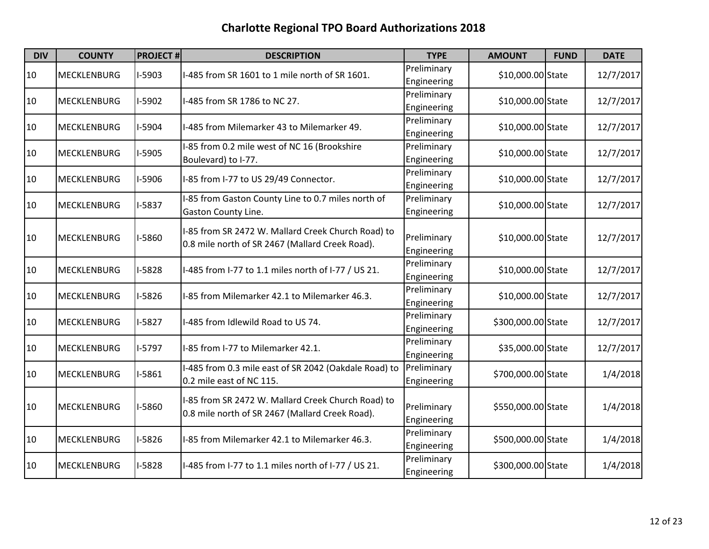| <b>DIV</b> | <b>COUNTY</b>      | <b>PROJECT#</b> | <b>DESCRIPTION</b>                                                                                    | <b>TYPE</b>                | <b>AMOUNT</b>      | <b>FUND</b> | <b>DATE</b> |
|------------|--------------------|-----------------|-------------------------------------------------------------------------------------------------------|----------------------------|--------------------|-------------|-------------|
| 10         | <b>MECKLENBURG</b> | I-5903          | I-485 from SR 1601 to 1 mile north of SR 1601.                                                        | Preliminary<br>Engineering | \$10,000.00 State  |             | 12/7/2017   |
| 10         | <b>MECKLENBURG</b> | I-5902          | I-485 from SR 1786 to NC 27.                                                                          | Preliminary<br>Engineering | \$10,000.00 State  |             | 12/7/2017   |
| 10         | <b>MECKLENBURG</b> | I-5904          | I-485 from Milemarker 43 to Milemarker 49.                                                            | Preliminary<br>Engineering | \$10,000.00 State  |             | 12/7/2017   |
| 10         | <b>MECKLENBURG</b> | I-5905          | I-85 from 0.2 mile west of NC 16 (Brookshire<br>Boulevard) to I-77.                                   | Preliminary<br>Engineering | \$10,000.00 State  |             | 12/7/2017   |
| 10         | <b>MECKLENBURG</b> | I-5906          | I-85 from I-77 to US 29/49 Connector.                                                                 | Preliminary<br>Engineering | \$10,000.00 State  |             | 12/7/2017   |
| 10         | <b>MECKLENBURG</b> | I-5837          | I-85 from Gaston County Line to 0.7 miles north of<br>Gaston County Line.                             | Preliminary<br>Engineering | \$10,000.00 State  |             | 12/7/2017   |
| 10         | <b>MECKLENBURG</b> | I-5860          | I-85 from SR 2472 W. Mallard Creek Church Road) to<br>0.8 mile north of SR 2467 (Mallard Creek Road). | Preliminary<br>Engineering | \$10,000.00 State  |             | 12/7/2017   |
| 10         | <b>MECKLENBURG</b> | $I-5828$        | I-485 from I-77 to 1.1 miles north of I-77 / US 21.                                                   | Preliminary<br>Engineering | \$10,000.00 State  |             | 12/7/2017   |
| 10         | <b>MECKLENBURG</b> | $I-5826$        | I-85 from Milemarker 42.1 to Milemarker 46.3.                                                         | Preliminary<br>Engineering | \$10,000.00 State  |             | 12/7/2017   |
| 10         | <b>MECKLENBURG</b> | $I-5827$        | I-485 from Idlewild Road to US 74.                                                                    | Preliminary<br>Engineering | \$300,000.00 State |             | 12/7/2017   |
| 10         | <b>MECKLENBURG</b> | $I-5797$        | I-85 from I-77 to Milemarker 42.1.                                                                    | Preliminary<br>Engineering | \$35,000.00 State  |             | 12/7/2017   |
| 10         | <b>MECKLENBURG</b> | $I-5861$        | I-485 from 0.3 mile east of SR 2042 (Oakdale Road) to<br>0.2 mile east of NC 115.                     | Preliminary<br>Engineering | \$700,000.00 State |             | 1/4/2018    |
| 10         | <b>MECKLENBURG</b> | I-5860          | I-85 from SR 2472 W. Mallard Creek Church Road) to<br>0.8 mile north of SR 2467 (Mallard Creek Road). | Preliminary<br>Engineering | \$550,000.00 State |             | 1/4/2018    |
| 10         | <b>MECKLENBURG</b> | $I-5826$        | I-85 from Milemarker 42.1 to Milemarker 46.3.                                                         | Preliminary<br>Engineering | \$500,000.00 State |             | 1/4/2018    |
| 10         | <b>MECKLENBURG</b> | $I-5828$        | I-485 from I-77 to 1.1 miles north of I-77 / US 21.                                                   | Preliminary<br>Engineering | \$300,000.00 State |             | 1/4/2018    |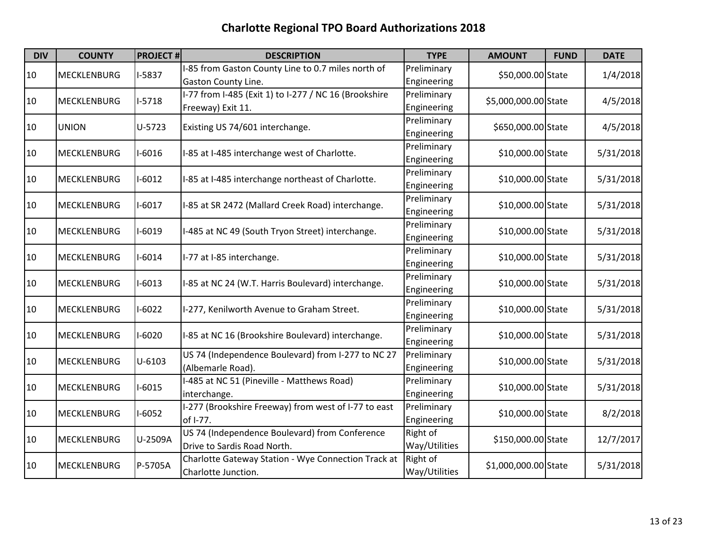| <b>DIV</b> | <b>COUNTY</b>                  | <b>PROJECT#</b> | <b>DESCRIPTION</b>                                    | <b>TYPE</b>   | <b>AMOUNT</b>        | <b>FUND</b> | <b>DATE</b> |
|------------|--------------------------------|-----------------|-------------------------------------------------------|---------------|----------------------|-------------|-------------|
| 10         | <b>MECKLENBURG</b>             | $I-5837$        | I-85 from Gaston County Line to 0.7 miles north of    | Preliminary   | \$50,000.00 State    |             | 1/4/2018    |
|            |                                |                 | <b>Gaston County Line.</b>                            | Engineering   |                      |             |             |
| 10         | <b>MECKLENBURG</b>             | $I-5718$        | I-77 from I-485 (Exit 1) to I-277 / NC 16 (Brookshire | Preliminary   | \$5,000,000.00 State |             | 4/5/2018    |
|            |                                |                 | Freeway) Exit 11.                                     | Engineering   |                      |             |             |
| 10         | <b>UNION</b>                   | $U-5723$        | Existing US 74/601 interchange.                       | Preliminary   | \$650,000.00 State   |             | 4/5/2018    |
|            |                                |                 |                                                       | Engineering   |                      |             |             |
| 10         | <b>MECKLENBURG</b>             | $I-6016$        | I-85 at I-485 interchange west of Charlotte.          | Preliminary   | \$10,000.00 State    |             | 5/31/2018   |
|            |                                |                 |                                                       | Engineering   |                      |             |             |
| 10         | <b>MECKLENBURG</b>             | $1 - 6012$      | I-85 at I-485 interchange northeast of Charlotte.     | Preliminary   | \$10,000.00 State    |             | 5/31/2018   |
|            |                                |                 |                                                       | Engineering   |                      |             |             |
|            |                                |                 |                                                       | Preliminary   |                      |             |             |
| 10         | <b>MECKLENBURG</b>             | $I-6017$        | I-85 at SR 2472 (Mallard Creek Road) interchange.     | Engineering   | \$10,000.00 State    |             | 5/31/2018   |
|            |                                |                 |                                                       | Preliminary   |                      |             |             |
| 10         | <b>MECKLENBURG</b>             | $I-6019$        | I-485 at NC 49 (South Tryon Street) interchange.      | Engineering   | \$10,000.00 State    |             | 5/31/2018   |
|            |                                |                 |                                                       | Preliminary   |                      |             |             |
| 10         | <b>MECKLENBURG</b>             | $1 - 6014$      | I-77 at I-85 interchange.                             | Engineering   | \$10,000.00 State    |             | 5/31/2018   |
|            |                                |                 |                                                       | Preliminary   |                      |             |             |
| 10         | <b>MECKLENBURG</b>             | $I-6013$        | I-85 at NC 24 (W.T. Harris Boulevard) interchange.    | Engineering   | \$10,000.00 State    |             | 5/31/2018   |
|            |                                |                 |                                                       | Preliminary   |                      |             |             |
| 10         | <b>MECKLENBURG</b>             | $I-6022$        | I-277, Kenilworth Avenue to Graham Street.            | Engineering   | \$10,000.00 State    |             | 5/31/2018   |
|            |                                |                 |                                                       | Preliminary   |                      |             |             |
| 10         | <b>MECKLENBURG</b>             | $I-6020$        | I-85 at NC 16 (Brookshire Boulevard) interchange.     | Engineering   | \$10,000.00 State    |             | 5/31/2018   |
|            |                                |                 | US 74 (Independence Boulevard) from I-277 to NC 27    | Preliminary   |                      |             |             |
| 10         | <b>MECKLENBURG</b>             | $U - 6103$      | (Albemarle Road).                                     | Engineering   | \$10,000.00 State    |             | 5/31/2018   |
|            |                                |                 | I-485 at NC 51 (Pineville - Matthews Road)            | Preliminary   |                      |             |             |
| 10         | <b>MECKLENBURG</b>             | $I-6015$        | interchange.                                          | Engineering   | \$10,000.00 State    |             | 5/31/2018   |
|            |                                |                 | I-277 (Brookshire Freeway) from west of I-77 to east  | Preliminary   |                      |             |             |
| 10         | $I-6052$<br><b>MECKLENBURG</b> |                 | of I-77.                                              | Engineering   | \$10,000.00 State    |             | 8/2/2018    |
|            |                                |                 | US 74 (Independence Boulevard) from Conference        | Right of      |                      |             |             |
| 10         | <b>MECKLENBURG</b>             | U-2509A         | Drive to Sardis Road North.                           | Way/Utilities | \$150,000.00 State   | 12/7/2017   |             |
|            |                                |                 | Charlotte Gateway Station - Wye Connection Track at   | Right of      | \$1,000,000.00 State |             |             |
| 10         | <b>MECKLENBURG</b>             | P-5705A         | Charlotte Junction.                                   | Way/Utilities |                      |             | 5/31/2018   |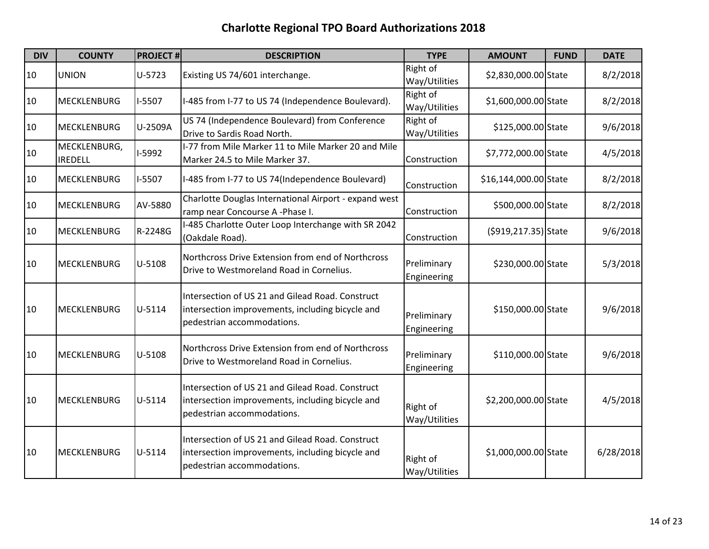| <b>DIV</b> | <b>COUNTY</b>                  | <b>PROJECT#</b> | <b>DESCRIPTION</b>                                                                                                                 | <b>TYPE</b>                | <b>AMOUNT</b>         | <b>FUND</b> | <b>DATE</b> |
|------------|--------------------------------|-----------------|------------------------------------------------------------------------------------------------------------------------------------|----------------------------|-----------------------|-------------|-------------|
| 10         | <b>UNION</b>                   | U-5723          | Existing US 74/601 interchange.                                                                                                    | Right of<br>Way/Utilities  | \$2,830,000.00 State  |             | 8/2/2018    |
| 10         | <b>MECKLENBURG</b>             | I-5507          | I-485 from I-77 to US 74 (Independence Boulevard).                                                                                 | Right of<br>Way/Utilities  | \$1,600,000.00 State  |             | 8/2/2018    |
| 10         | <b>MECKLENBURG</b>             | U-2509A         | US 74 (Independence Boulevard) from Conference<br>Drive to Sardis Road North.                                                      | Right of<br>Way/Utilities  | \$125,000.00 State    |             | 9/6/2018    |
| 10         | MECKLENBURG,<br><b>IREDELL</b> | I-5992          | I-77 from Mile Marker 11 to Mile Marker 20 and Mile<br>Marker 24.5 to Mile Marker 37.                                              | Construction               | \$7,772,000.00 State  |             | 4/5/2018    |
| 10         | <b>MECKLENBURG</b>             | I-5507          | I-485 from I-77 to US 74(Independence Boulevard)                                                                                   | Construction               | \$16,144,000.00 State |             | 8/2/2018    |
| 10         | <b>MECKLENBURG</b>             | AV-5880         | Charlotte Douglas International Airport - expand west<br>ramp near Concourse A -Phase I.                                           | Construction               | \$500,000.00 State    |             | 8/2/2018    |
| 10         | <b>MECKLENBURG</b>             | R-2248G         | I-485 Charlotte Outer Loop Interchange with SR 2042<br>(Oakdale Road).                                                             | Construction               | (\$919,217.35) State  |             | 9/6/2018    |
| 10         | <b>MECKLENBURG</b>             | $U-5108$        | Northcross Drive Extension from end of Northcross<br>Drive to Westmoreland Road in Cornelius.                                      | Preliminary<br>Engineering | \$230,000.00 State    |             | 5/3/2018    |
| 10         | <b>MECKLENBURG</b>             | U-5114          | Intersection of US 21 and Gilead Road. Construct<br>intersection improvements, including bicycle and<br>pedestrian accommodations. | Preliminary<br>Engineering | \$150,000.00 State    |             | 9/6/2018    |
| 10         | <b>MECKLENBURG</b>             | U-5108          | Northcross Drive Extension from end of Northcross<br>Drive to Westmoreland Road in Cornelius.                                      | Preliminary<br>Engineering | \$110,000.00 State    |             | 9/6/2018    |
| 10         | <b>MECKLENBURG</b>             | U-5114          | Intersection of US 21 and Gilead Road. Construct<br>intersection improvements, including bicycle and<br>pedestrian accommodations. | Right of<br>Way/Utilities  | \$2,200,000.00 State  |             | 4/5/2018    |
| 10         | <b>MECKLENBURG</b>             | U-5114          | Intersection of US 21 and Gilead Road. Construct<br>intersection improvements, including bicycle and<br>pedestrian accommodations. | Right of<br>Way/Utilities  | \$1,000,000.00 State  |             | 6/28/2018   |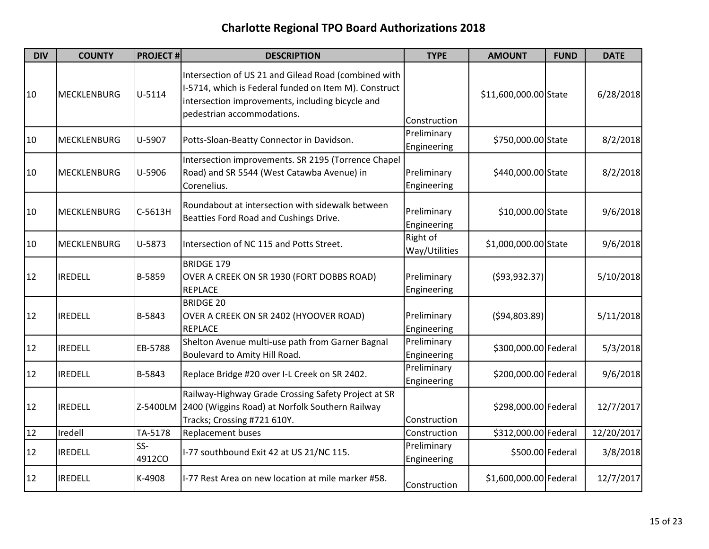| <b>DIV</b> | <b>COUNTY</b>      | <b>PROJECT#</b> | <b>DESCRIPTION</b>                                                                                                                                                                              | <b>TYPE</b>                | <b>AMOUNT</b>          | <b>FUND</b> | <b>DATE</b> |
|------------|--------------------|-----------------|-------------------------------------------------------------------------------------------------------------------------------------------------------------------------------------------------|----------------------------|------------------------|-------------|-------------|
| 10         | <b>MECKLENBURG</b> | $U-5114$        | Intersection of US 21 and Gilead Road (combined with<br>I-5714, which is Federal funded on Item M). Construct<br>intersection improvements, including bicycle and<br>pedestrian accommodations. | Construction               | \$11,600,000.00 State  |             | 6/28/2018   |
| 10         | <b>MECKLENBURG</b> | U-5907          | Potts-Sloan-Beatty Connector in Davidson.                                                                                                                                                       | Preliminary<br>Engineering | \$750,000.00 State     |             | 8/2/2018    |
| 10         | <b>MECKLENBURG</b> | U-5906          | Intersection improvements. SR 2195 (Torrence Chapel<br>Road) and SR 5544 (West Catawba Avenue) in<br>Corenelius.                                                                                | Preliminary<br>Engineering | \$440,000.00 State     |             | 8/2/2018    |
| 10         | <b>MECKLENBURG</b> | C-5613H         | Roundabout at intersection with sidewalk between<br>Beatties Ford Road and Cushings Drive.                                                                                                      | Preliminary<br>Engineering | \$10,000.00 State      |             | 9/6/2018    |
| 10         | <b>MECKLENBURG</b> | U-5873          | Intersection of NC 115 and Potts Street.                                                                                                                                                        | Right of<br>Way/Utilities  | \$1,000,000.00 State   |             | 9/6/2018    |
| 12         | <b>IREDELL</b>     | B-5859          | <b>BRIDGE 179</b><br>OVER A CREEK ON SR 1930 (FORT DOBBS ROAD)<br><b>REPLACE</b>                                                                                                                | Preliminary<br>Engineering | ( \$93, 932.37)        |             | 5/10/2018   |
| 12         | <b>IREDELL</b>     | B-5843          | <b>BRIDGE 20</b><br>OVER A CREEK ON SR 2402 (HYOOVER ROAD)<br><b>REPLACE</b>                                                                                                                    | Preliminary<br>Engineering | ( \$94, 803.89)        |             | 5/11/2018   |
| 12         | <b>IREDELL</b>     | EB-5788         | Shelton Avenue multi-use path from Garner Bagnal<br>Boulevard to Amity Hill Road.                                                                                                               | Preliminary<br>Engineering | \$300,000.00 Federal   |             | 5/3/2018    |
| 12         | <b>IREDELL</b>     | B-5843          | Replace Bridge #20 over I-L Creek on SR 2402.                                                                                                                                                   | Preliminary<br>Engineering | \$200,000.00 Federal   |             | 9/6/2018    |
| 12         | <b>IREDELL</b>     | Z-5400LM        | Railway-Highway Grade Crossing Safety Project at SR<br>2400 (Wiggins Road) at Norfolk Southern Railway<br>Tracks; Crossing #721 610Y.                                                           | Construction               | \$298,000.00 Federal   |             | 12/7/2017   |
| 12         | Iredell            | TA-5178         | Replacement buses                                                                                                                                                                               | Construction               | \$312,000.00 Federal   |             | 12/20/2017  |
| 12         | <b>IREDELL</b>     | SS-<br>4912CO   | I-77 southbound Exit 42 at US 21/NC 115.                                                                                                                                                        | Preliminary<br>Engineering | \$500.00 Federal       |             | 3/8/2018    |
| 12         | <b>IREDELL</b>     | K-4908          | I-77 Rest Area on new location at mile marker #58.                                                                                                                                              | Construction               | \$1,600,000.00 Federal |             | 12/7/2017   |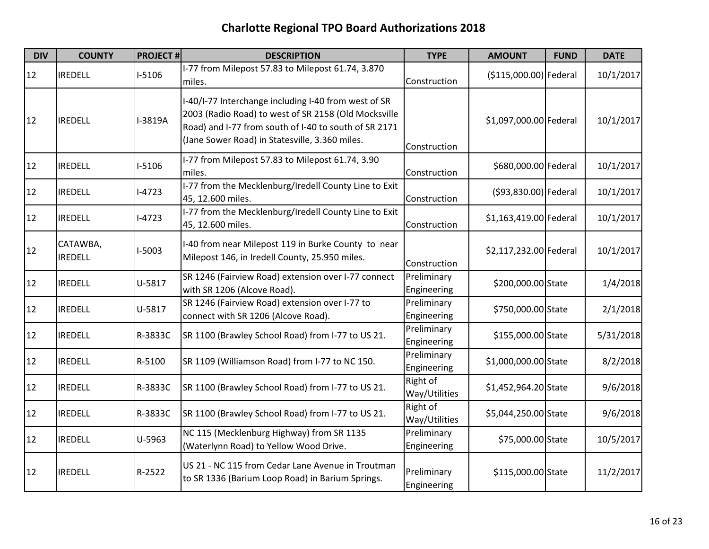| <b>DIV</b> | <b>COUNTY</b>              | <b>PROJECT#</b> | <b>DESCRIPTION</b>                                                                                                                                                                                                      | <b>TYPE</b>                | <b>AMOUNT</b>          | <b>FUND</b> | <b>DATE</b> |
|------------|----------------------------|-----------------|-------------------------------------------------------------------------------------------------------------------------------------------------------------------------------------------------------------------------|----------------------------|------------------------|-------------|-------------|
| 12         | <b>IREDELL</b>             | $I-5106$        | I-77 from Milepost 57.83 to Milepost 61.74, 3.870<br>miles.                                                                                                                                                             | Construction               | (\$115,000.00) Federal |             | 10/1/2017   |
| 12         | <b>IREDELL</b>             | I-3819A         | I-40/I-77 Interchange including I-40 from west of SR<br>2003 (Radio Road) to west of SR 2158 (Old Mocksville<br>Road) and I-77 from south of I-40 to south of SR 2171<br>(Jane Sower Road) in Statesville, 3.360 miles. | Construction               | \$1,097,000.00 Federal |             | 10/1/2017   |
| 12         | <b>IREDELL</b>             | $I-5106$        | I-77 from Milepost 57.83 to Milepost 61.74, 3.90<br>miles.                                                                                                                                                              | Construction               | \$680,000.00 Federal   |             | 10/1/2017   |
| 12         | <b>IREDELL</b>             | $I-4723$        | I-77 from the Mecklenburg/Iredell County Line to Exit<br>45, 12.600 miles.                                                                                                                                              | Construction               | (\$93,830.00) Federal  |             | 10/1/2017   |
| 12         | <b>IREDELL</b>             | $I-4723$        | I-77 from the Mecklenburg/Iredell County Line to Exit<br>45, 12.600 miles.                                                                                                                                              | Construction               | \$1,163,419.00 Federal |             | 10/1/2017   |
| 12         | CATAWBA,<br><b>IREDELL</b> | $I-5003$        | I-40 from near Milepost 119 in Burke County to near<br>Milepost 146, in Iredell County, 25.950 miles.                                                                                                                   | Construction               | \$2,117,232.00 Federal |             | 10/1/2017   |
| 12         | <b>IREDELL</b>             | U-5817          | SR 1246 (Fairview Road) extension over I-77 connect<br>with SR 1206 (Alcove Road).                                                                                                                                      | Preliminary<br>Engineering | \$200,000.00 State     |             | 1/4/2018    |
| 12         | <b>IREDELL</b>             | U-5817          | SR 1246 (Fairview Road) extension over I-77 to<br>connect with SR 1206 (Alcove Road).                                                                                                                                   | Preliminary<br>Engineering | \$750,000.00 State     |             | 2/1/2018    |
| 12         | <b>IREDELL</b>             | R-3833C         | SR 1100 (Brawley School Road) from I-77 to US 21.                                                                                                                                                                       | Preliminary<br>Engineering | \$155,000.00 State     |             | 5/31/2018   |
| 12         | <b>IREDELL</b>             | R-5100          | SR 1109 (Williamson Road) from I-77 to NC 150.                                                                                                                                                                          | Preliminary<br>Engineering | \$1,000,000.00 State   |             | 8/2/2018    |
| 12         | <b>IREDELL</b>             | R-3833C         | SR 1100 (Brawley School Road) from I-77 to US 21.                                                                                                                                                                       | Right of<br>Way/Utilities  | \$1,452,964.20 State   |             | 9/6/2018    |
| 12         | <b>IREDELL</b>             | R-3833C         | SR 1100 (Brawley School Road) from I-77 to US 21.                                                                                                                                                                       | Right of<br>Way/Utilities  | \$5,044,250.00 State   |             | 9/6/2018    |
| 12         | <b>IREDELL</b>             | U-5963          | NC 115 (Mecklenburg Highway) from SR 1135<br>(Waterlynn Road) to Yellow Wood Drive.                                                                                                                                     | Preliminary<br>Engineering | \$75,000.00 State      |             | 10/5/2017   |
| 12         | <b>IREDELL</b>             | R-2522          | US 21 - NC 115 from Cedar Lane Avenue in Troutman<br>to SR 1336 (Barium Loop Road) in Barium Springs.                                                                                                                   | Preliminary<br>Engineering | \$115,000.00 State     |             | 11/2/2017   |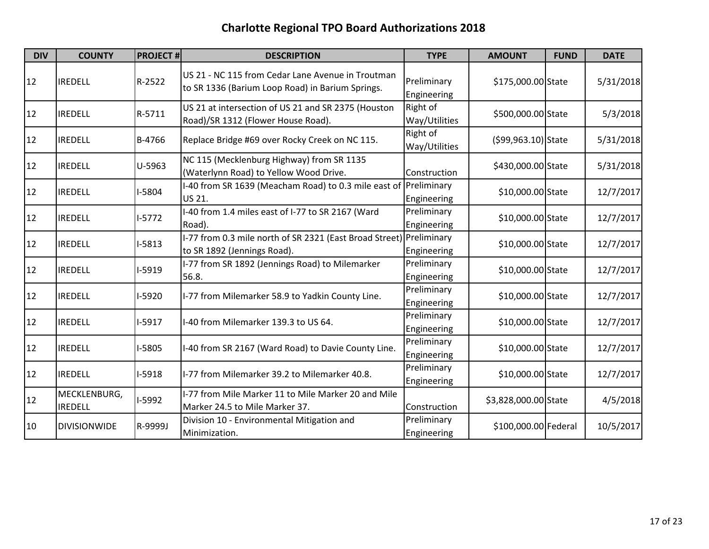| <b>DIV</b> | <b>COUNTY</b>                  | <b>PROJECT#</b> | <b>DESCRIPTION</b>                                                                                    | <b>TYPE</b>                | <b>AMOUNT</b>        | <b>FUND</b> | <b>DATE</b> |
|------------|--------------------------------|-----------------|-------------------------------------------------------------------------------------------------------|----------------------------|----------------------|-------------|-------------|
| 12         | <b>IREDELL</b>                 | R-2522          | US 21 - NC 115 from Cedar Lane Avenue in Troutman<br>to SR 1336 (Barium Loop Road) in Barium Springs. | Preliminary<br>Engineering | \$175,000.00 State   |             | 5/31/2018   |
| 12         | <b>IREDELL</b>                 | R-5711          | US 21 at intersection of US 21 and SR 2375 (Houston<br>Road)/SR 1312 (Flower House Road).             | Right of<br>Way/Utilities  | \$500,000.00 State   |             | 5/3/2018    |
| 12         | <b>IREDELL</b>                 | B-4766          | Replace Bridge #69 over Rocky Creek on NC 115.                                                        | Right of<br>Way/Utilities  | (\$99,963.10) State  |             | 5/31/2018   |
| 12         | <b>IREDELL</b>                 | U-5963          | NC 115 (Mecklenburg Highway) from SR 1135<br>(Waterlynn Road) to Yellow Wood Drive.                   | Construction               | \$430,000.00 State   |             | 5/31/2018   |
| 12         | <b>IREDELL</b>                 | I-5804          | I-40 from SR 1639 (Meacham Road) to 0.3 mile east of<br>US 21.                                        | Preliminary<br>Engineering | \$10,000.00 State    |             | 12/7/2017   |
| 12         | <b>IREDELL</b>                 | $I-5772$        | I-40 from 1.4 miles east of I-77 to SR 2167 (Ward<br>Road).                                           | Preliminary<br>Engineering | \$10,000.00 State    |             | 12/7/2017   |
| 12         | <b>IREDELL</b>                 | $I-5813$        | I-77 from 0.3 mile north of SR 2321 (East Broad Street)<br>to SR 1892 (Jennings Road).                | Preliminary<br>Engineering | \$10,000.00 State    |             | 12/7/2017   |
| 12         | <b>IREDELL</b>                 | I-5919          | I-77 from SR 1892 (Jennings Road) to Milemarker<br>56.8.                                              | Preliminary<br>Engineering | \$10,000.00 State    |             | 12/7/2017   |
| 12         | <b>IREDELL</b>                 | I-5920          | I-77 from Milemarker 58.9 to Yadkin County Line.                                                      | Preliminary<br>Engineering | \$10,000.00 State    |             | 12/7/2017   |
| 12         | <b>IREDELL</b>                 | $I-5917$        | I-40 from Milemarker 139.3 to US 64.                                                                  | Preliminary<br>Engineering | \$10,000.00 State    |             | 12/7/2017   |
| 12         | <b>IREDELL</b>                 | I-5805          | I-40 from SR 2167 (Ward Road) to Davie County Line.                                                   | Preliminary<br>Engineering | \$10,000.00 State    |             | 12/7/2017   |
| 12         | <b>IREDELL</b>                 | $I-5918$        | I-77 from Milemarker 39.2 to Milemarker 40.8.                                                         | Preliminary<br>Engineering | \$10,000.00 State    |             | 12/7/2017   |
| 12         | MECKLENBURG,<br><b>IREDELL</b> | I-5992          | I-77 from Mile Marker 11 to Mile Marker 20 and Mile<br>Marker 24.5 to Mile Marker 37.                 | Construction               | \$3,828,000.00 State |             | 4/5/2018    |
| 10         | <b>DIVISIONWIDE</b>            | R-9999J         | Division 10 - Environmental Mitigation and<br>Minimization.                                           | Preliminary<br>Engineering | \$100,000.00 Federal |             | 10/5/2017   |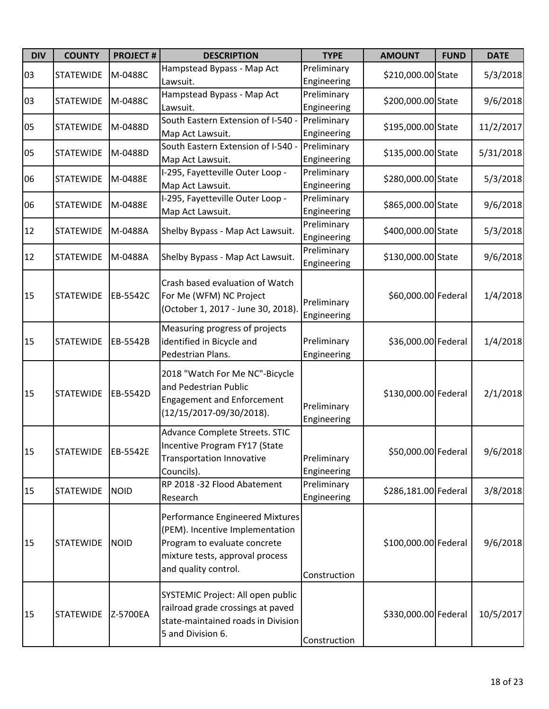| <b>DIV</b> | <b>COUNTY</b>    | <b>PROJECT#</b> | <b>DESCRIPTION</b>                                                                                                                                            | <b>TYPE</b>                | <b>AMOUNT</b>        | <b>FUND</b> | <b>DATE</b> |
|------------|------------------|-----------------|---------------------------------------------------------------------------------------------------------------------------------------------------------------|----------------------------|----------------------|-------------|-------------|
| 03         | <b>STATEWIDE</b> | M-0488C         | Hampstead Bypass - Map Act<br>Lawsuit.                                                                                                                        | Preliminary<br>Engineering | \$210,000.00 State   |             | 5/3/2018    |
| 03         | <b>STATEWIDE</b> | M-0488C         | Hampstead Bypass - Map Act<br>Lawsuit.                                                                                                                        | Preliminary<br>Engineering | \$200,000.00 State   |             | 9/6/2018    |
| 05         | <b>STATEWIDE</b> | M-0488D         | South Eastern Extension of I-540 -<br>Map Act Lawsuit.                                                                                                        | Preliminary<br>Engineering | \$195,000.00 State   |             | 11/2/2017   |
| 05         | <b>STATEWIDE</b> | M-0488D         | South Eastern Extension of I-540 -<br>Map Act Lawsuit.                                                                                                        | Preliminary<br>Engineering | \$135,000.00 State   |             | 5/31/2018   |
| 06         | <b>STATEWIDE</b> | M-0488E         | I-295, Fayetteville Outer Loop -<br>Map Act Lawsuit.                                                                                                          | Preliminary<br>Engineering | \$280,000.00 State   |             | 5/3/2018    |
| 06         | <b>STATEWIDE</b> | M-0488E         | I-295, Fayetteville Outer Loop -<br>Map Act Lawsuit.                                                                                                          | Preliminary<br>Engineering | \$865,000.00 State   |             | 9/6/2018    |
| 12         | <b>STATEWIDE</b> | M-0488A         | Shelby Bypass - Map Act Lawsuit.                                                                                                                              | Preliminary<br>Engineering | \$400,000.00 State   |             | 5/3/2018    |
| 12         | <b>STATEWIDE</b> | M-0488A         | Shelby Bypass - Map Act Lawsuit.                                                                                                                              | Preliminary<br>Engineering | \$130,000.00 State   |             | 9/6/2018    |
| 15         | <b>STATEWIDE</b> | EB-5542C        | Crash based evaluation of Watch<br>For Me (WFM) NC Project<br>(October 1, 2017 - June 30, 2018).                                                              | Preliminary<br>Engineering | \$60,000.00 Federal  |             | 1/4/2018    |
| 15         | <b>STATEWIDE</b> | EB-5542B        | Measuring progress of projects<br>identified in Bicycle and<br>Pedestrian Plans.                                                                              | Preliminary<br>Engineering | \$36,000.00 Federal  |             | 1/4/2018    |
| 15         | <b>STATEWIDE</b> | EB-5542D        | 2018 "Watch For Me NC"-Bicycle<br>and Pedestrian Public<br><b>Engagement and Enforcement</b><br>(12/15/2017-09/30/2018).                                      | Preliminary<br>Engineering | \$130,000.00 Federal |             | 2/1/2018    |
| 15         | <b>STATEWIDE</b> | EB-5542E        | Advance Complete Streets. STIC<br>Incentive Program FY17 (State<br><b>Transportation Innovative</b><br>Councils).                                             | Preliminary<br>Engineering | \$50,000.00 Federal  |             | 9/6/2018    |
| 15         | <b>STATEWIDE</b> | <b>NOID</b>     | RP 2018 -32 Flood Abatement<br>Research                                                                                                                       | Preliminary<br>Engineering | \$286,181.00 Federal |             | 3/8/2018    |
| 15         | <b>STATEWIDE</b> | <b>NOID</b>     | Performance Engineered Mixtures<br>(PEM). Incentive Implementation<br>Program to evaluate concrete<br>mixture tests, approval process<br>and quality control. | Construction               | \$100,000.00 Federal |             | 9/6/2018    |
| 15         | <b>STATEWIDE</b> | Z-5700EA        | SYSTEMIC Project: All open public<br>railroad grade crossings at paved<br>state-maintained roads in Division<br>5 and Division 6.                             | Construction               | \$330,000.00 Federal |             | 10/5/2017   |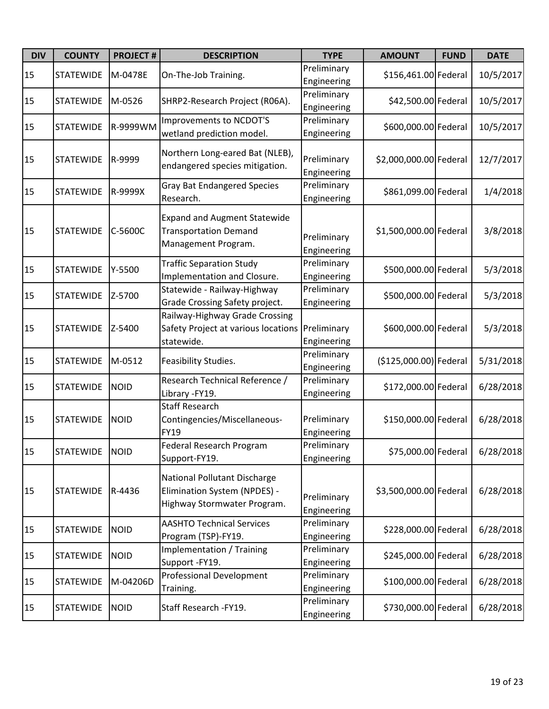| <b>DIV</b> | <b>COUNTY</b>    | <b>PROJECT#</b> | <b>DESCRIPTION</b>                                                                                 | <b>TYPE</b>                | <b>AMOUNT</b>          | <b>FUND</b> | <b>DATE</b> |
|------------|------------------|-----------------|----------------------------------------------------------------------------------------------------|----------------------------|------------------------|-------------|-------------|
| 15         | <b>STATEWIDE</b> | M-0478E         | On-The-Job Training.                                                                               | Preliminary<br>Engineering | \$156,461.00 Federal   |             | 10/5/2017   |
| 15         | <b>STATEWIDE</b> | M-0526          | SHRP2-Research Project (R06A).                                                                     | Preliminary<br>Engineering | \$42,500.00 Federal    |             | 10/5/2017   |
| 15         | <b>STATEWIDE</b> | R-9999WM        | Improvements to NCDOT'S<br>wetland prediction model.                                               | Preliminary<br>Engineering | \$600,000.00 Federal   |             | 10/5/2017   |
| 15         | <b>STATEWIDE</b> | R-9999          | Northern Long-eared Bat (NLEB),<br>endangered species mitigation.                                  | Preliminary<br>Engineering | \$2,000,000.00 Federal |             | 12/7/2017   |
| 15         | <b>STATEWIDE</b> | R-9999X         | <b>Gray Bat Endangered Species</b><br>Research.                                                    | Preliminary<br>Engineering | \$861,099.00 Federal   |             | 1/4/2018    |
| 15         | <b>STATEWIDE</b> | C-5600C         | <b>Expand and Augment Statewide</b><br><b>Transportation Demand</b><br>Management Program.         | Preliminary<br>Engineering | \$1,500,000.00 Federal |             | 3/8/2018    |
| 15         | <b>STATEWIDE</b> | Y-5500          | <b>Traffic Separation Study</b><br>Implementation and Closure.                                     | Preliminary<br>Engineering | \$500,000.00 Federal   |             | 5/3/2018    |
| 15         | <b>STATEWIDE</b> | Z-5700          | Statewide - Railway-Highway<br>Grade Crossing Safety project.                                      | Preliminary<br>Engineering | \$500,000.00 Federal   |             | 5/3/2018    |
| 15         | <b>STATEWIDE</b> | Z-5400          | Railway-Highway Grade Crossing<br>Safety Project at various locations<br>statewide.                | Preliminary<br>Engineering | \$600,000.00 Federal   |             | 5/3/2018    |
| 15         | <b>STATEWIDE</b> | M-0512          | Feasibility Studies.                                                                               | Preliminary<br>Engineering | (\$125,000.00) Federal |             | 5/31/2018   |
| 15         | <b>STATEWIDE</b> | <b>NOID</b>     | Research Technical Reference /<br>Library - FY19.                                                  | Preliminary<br>Engineering | \$172,000.00 Federal   |             | 6/28/2018   |
| 15         | <b>STATEWIDE</b> | <b>NOID</b>     | <b>Staff Research</b><br>Contingencies/Miscellaneous-<br><b>FY19</b>                               | Preliminary<br>Engineering | \$150,000.00 Federal   |             | 6/28/2018   |
| 15         | <b>STATEWIDE</b> | <b>NOID</b>     | <b>Federal Research Program</b><br>Support-FY19.                                                   | Preliminary<br>Engineering | \$75,000.00 Federal    |             | 6/28/2018   |
| 15         | <b>STATEWIDE</b> | R-4436          | <b>National Pollutant Discharge</b><br>Elimination System (NPDES) -<br>Highway Stormwater Program. | Preliminary<br>Engineering | \$3,500,000.00 Federal |             | 6/28/2018   |
| 15         | <b>STATEWIDE</b> | <b>NOID</b>     | <b>AASHTO Technical Services</b><br>Program (TSP)-FY19.                                            | Preliminary<br>Engineering | \$228,000.00 Federal   |             | 6/28/2018   |
| 15         | <b>STATEWIDE</b> | <b>NOID</b>     | Implementation / Training<br>Support -FY19.                                                        | Preliminary<br>Engineering | \$245,000.00 Federal   |             | 6/28/2018   |
| 15         | <b>STATEWIDE</b> | M-04206D        | <b>Professional Development</b><br>Training.                                                       | Preliminary<br>Engineering | \$100,000.00 Federal   |             | 6/28/2018   |
| 15         | <b>STATEWIDE</b> | <b>NOID</b>     | Staff Research - FY19.                                                                             | Preliminary<br>Engineering | \$730,000.00 Federal   |             | 6/28/2018   |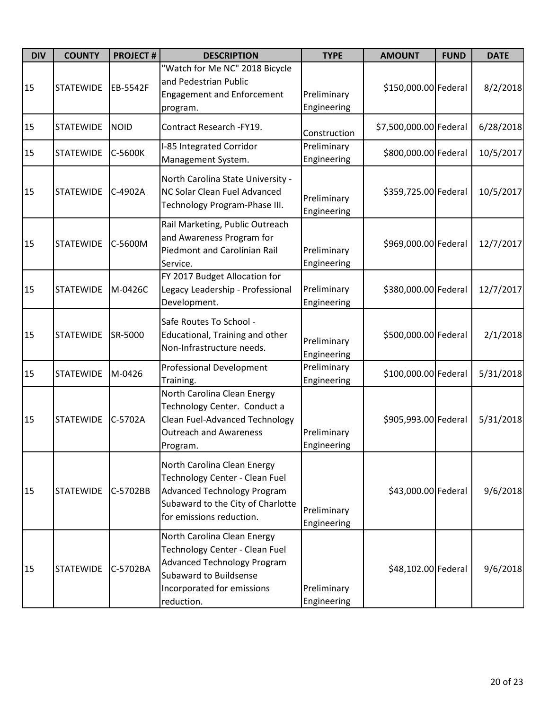| <b>DIV</b> | <b>COUNTY</b>    | <b>PROJECT#</b> | <b>DESCRIPTION</b>                                                                                                                                                        | <b>TYPE</b>                | <b>AMOUNT</b>          | <b>FUND</b> | <b>DATE</b> |
|------------|------------------|-----------------|---------------------------------------------------------------------------------------------------------------------------------------------------------------------------|----------------------------|------------------------|-------------|-------------|
| 15         | <b>STATEWIDE</b> | EB-5542F        | "Watch for Me NC" 2018 Bicycle<br>and Pedestrian Public<br><b>Engagement and Enforcement</b><br>program.                                                                  | Preliminary<br>Engineering | \$150,000.00 Federal   |             | 8/2/2018    |
| 15         | <b>STATEWIDE</b> | <b>NOID</b>     | Contract Research - FY19.                                                                                                                                                 | Construction               | \$7,500,000.00 Federal |             | 6/28/2018   |
| 15         | <b>STATEWIDE</b> | C-5600K         | I-85 Integrated Corridor<br>Management System.                                                                                                                            | Preliminary<br>Engineering | \$800,000.00 Federal   |             | 10/5/2017   |
| 15         | <b>STATEWIDE</b> | C-4902A         | North Carolina State University -<br>NC Solar Clean Fuel Advanced<br>Technology Program-Phase III.                                                                        | Preliminary<br>Engineering | \$359,725.00 Federal   |             | 10/5/2017   |
| 15         | <b>STATEWIDE</b> | C-5600M         | Rail Marketing, Public Outreach<br>and Awareness Program for<br>Piedmont and Carolinian Rail<br>Service.                                                                  | Preliminary<br>Engineering | \$969,000.00 Federal   |             | 12/7/2017   |
| 15         | <b>STATEWIDE</b> | M-0426C         | FY 2017 Budget Allocation for<br>Legacy Leadership - Professional<br>Development.                                                                                         | Preliminary<br>Engineering | \$380,000.00 Federal   |             | 12/7/2017   |
| 15         | <b>STATEWIDE</b> | SR-5000         | Safe Routes To School -<br>Educational, Training and other<br>Non-Infrastructure needs.                                                                                   | Preliminary<br>Engineering | \$500,000.00 Federal   |             | 2/1/2018    |
| 15         | <b>STATEWIDE</b> | M-0426          | <b>Professional Development</b><br>Training.                                                                                                                              | Preliminary<br>Engineering | \$100,000.00 Federal   |             | 5/31/2018   |
| 15         | <b>STATEWIDE</b> | C-5702A         | North Carolina Clean Energy<br>Technology Center. Conduct a<br><b>Clean Fuel-Advanced Technology</b><br><b>Outreach and Awareness</b><br>Program.                         | Preliminary<br>Engineering | \$905,993.00 Federal   |             | 5/31/2018   |
| 15         | <b>STATEWIDE</b> | C-5702BB        | North Carolina Clean Energy<br>Technology Center - Clean Fuel<br><b>Advanced Technology Program</b><br>Subaward to the City of Charlotte<br>for emissions reduction.      | Preliminary<br>Engineering | \$43,000.00 Federal    |             | 9/6/2018    |
| 15         | <b>STATEWIDE</b> | C-5702BA        | North Carolina Clean Energy<br>Technology Center - Clean Fuel<br><b>Advanced Technology Program</b><br>Subaward to Buildsense<br>Incorporated for emissions<br>reduction. | Preliminary<br>Engineering | \$48,102.00 Federal    |             | 9/6/2018    |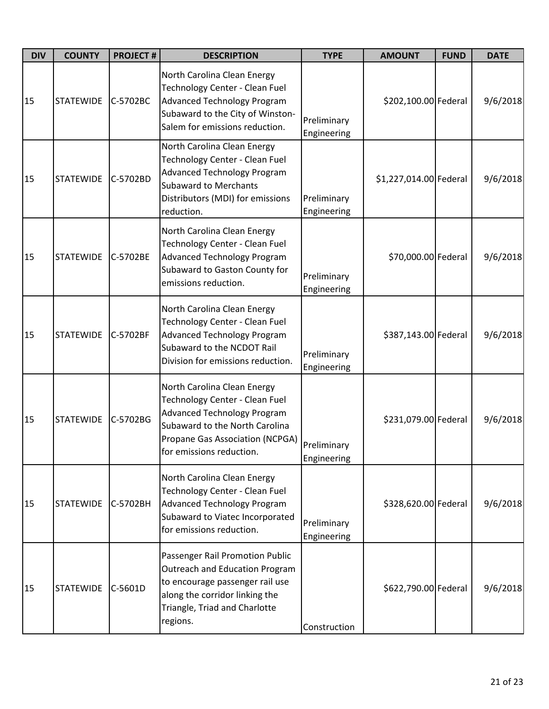| <b>DIV</b> | <b>COUNTY</b>    | <b>PROJECT#</b> | <b>DESCRIPTION</b>                                                                                                                                                                                   | <b>TYPE</b>                | <b>AMOUNT</b>          | <b>FUND</b> | <b>DATE</b> |
|------------|------------------|-----------------|------------------------------------------------------------------------------------------------------------------------------------------------------------------------------------------------------|----------------------------|------------------------|-------------|-------------|
| 15         | <b>STATEWIDE</b> | C-5702BC        | North Carolina Clean Energy<br>Technology Center - Clean Fuel<br><b>Advanced Technology Program</b><br>Subaward to the City of Winston-<br>Salem for emissions reduction.                            | Preliminary<br>Engineering | \$202,100.00 Federal   |             | 9/6/2018    |
| 15         | <b>STATEWIDE</b> | C-5702BD        | North Carolina Clean Energy<br>Technology Center - Clean Fuel<br><b>Advanced Technology Program</b><br><b>Subaward to Merchants</b><br>Distributors (MDI) for emissions<br>reduction.                | Preliminary<br>Engineering | \$1,227,014.00 Federal |             | 9/6/2018    |
| 15         | <b>STATEWIDE</b> | C-5702BE        | North Carolina Clean Energy<br>Technology Center - Clean Fuel<br><b>Advanced Technology Program</b><br>Subaward to Gaston County for<br>emissions reduction.                                         | Preliminary<br>Engineering | \$70,000.00 Federal    |             | 9/6/2018    |
| 15         | <b>STATEWIDE</b> | C-5702BF        | North Carolina Clean Energy<br>Technology Center - Clean Fuel<br><b>Advanced Technology Program</b><br>Subaward to the NCDOT Rail<br>Division for emissions reduction.                               | Preliminary<br>Engineering | \$387,143.00 Federal   |             | 9/6/2018    |
| 15         | <b>STATEWIDE</b> | C-5702BG        | North Carolina Clean Energy<br>Technology Center - Clean Fuel<br><b>Advanced Technology Program</b><br>Subaward to the North Carolina<br>Propane Gas Association (NCPGA)<br>for emissions reduction. | Preliminary<br>Engineering | \$231,079.00 Federal   |             | 9/6/2018    |
| 15         | <b>STATEWIDE</b> | C-5702BH        | North Carolina Clean Energy<br>Technology Center - Clean Fuel<br><b>Advanced Technology Program</b><br>Subaward to Viatec Incorporated<br>for emissions reduction.                                   | Preliminary<br>Engineering | \$328,620.00 Federal   |             | 9/6/2018    |
| 15         | <b>STATEWIDE</b> | C-5601D         | Passenger Rail Promotion Public<br><b>Outreach and Education Program</b><br>to encourage passenger rail use<br>along the corridor linking the<br>Triangle, Triad and Charlotte<br>regions.           | Construction               | \$622,790.00 Federal   |             | 9/6/2018    |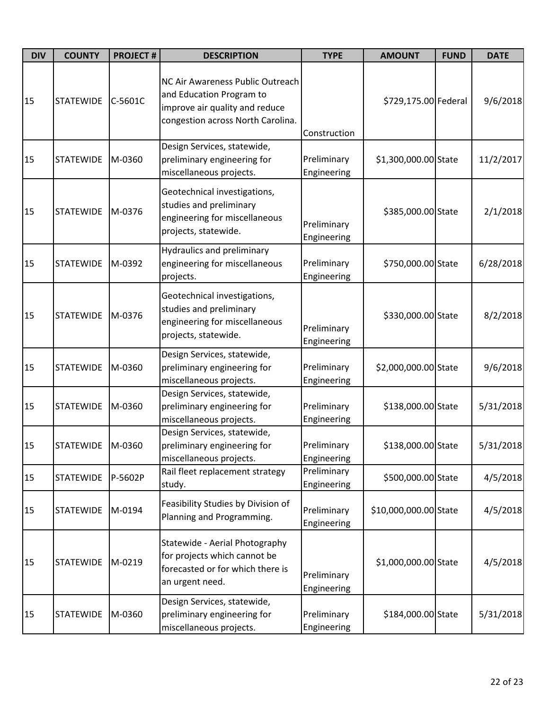| <b>DIV</b> | <b>COUNTY</b>    | <b>PROJECT#</b> | <b>DESCRIPTION</b>                                                                                                                  | <b>TYPE</b>                | <b>AMOUNT</b>         | <b>FUND</b> | <b>DATE</b> |
|------------|------------------|-----------------|-------------------------------------------------------------------------------------------------------------------------------------|----------------------------|-----------------------|-------------|-------------|
| 15         | <b>STATEWIDE</b> | C-5601C         | NC Air Awareness Public Outreach<br>and Education Program to<br>improve air quality and reduce<br>congestion across North Carolina. | Construction               | \$729,175.00 Federal  |             | 9/6/2018    |
| 15         | <b>STATEWIDE</b> | M-0360          | Design Services, statewide,<br>preliminary engineering for<br>miscellaneous projects.                                               | Preliminary<br>Engineering | \$1,300,000.00 State  |             | 11/2/2017   |
| 15         | <b>STATEWIDE</b> | M-0376          | Geotechnical investigations,<br>studies and preliminary<br>engineering for miscellaneous<br>projects, statewide.                    | Preliminary<br>Engineering | \$385,000.00 State    |             | 2/1/2018    |
| 15         | <b>STATEWIDE</b> | M-0392          | <b>Hydraulics and preliminary</b><br>engineering for miscellaneous<br>projects.                                                     | Preliminary<br>Engineering | \$750,000.00 State    |             | 6/28/2018   |
| 15         | <b>STATEWIDE</b> | M-0376          | Geotechnical investigations,<br>studies and preliminary<br>engineering for miscellaneous<br>projects, statewide.                    | Preliminary<br>Engineering | \$330,000.00 State    |             | 8/2/2018    |
| 15         | <b>STATEWIDE</b> | M-0360          | Design Services, statewide,<br>preliminary engineering for<br>miscellaneous projects.                                               | Preliminary<br>Engineering | \$2,000,000.00 State  |             | 9/6/2018    |
| 15         | <b>STATEWIDE</b> | M-0360          | Design Services, statewide,<br>preliminary engineering for<br>miscellaneous projects.                                               | Preliminary<br>Engineering | \$138,000.00 State    |             | 5/31/2018   |
| 15         | <b>STATEWIDE</b> | M-0360          | Design Services, statewide,<br>preliminary engineering for<br>miscellaneous projects.                                               | Preliminary<br>Engineering | \$138,000.00 State    |             | 5/31/2018   |
| 15         | <b>STATEWIDE</b> | P-5602P         | Rail fleet replacement strategy<br>study.                                                                                           | Preliminary<br>Engineering | \$500,000.00 State    |             | 4/5/2018    |
| 15         | <b>STATEWIDE</b> | M-0194          | Feasibility Studies by Division of<br>Planning and Programming.                                                                     | Preliminary<br>Engineering | \$10,000,000.00 State |             | 4/5/2018    |
| 15         | <b>STATEWIDE</b> | M-0219          | Statewide - Aerial Photography<br>for projects which cannot be<br>forecasted or for which there is<br>an urgent need.               | Preliminary<br>Engineering | \$1,000,000.00 State  |             | 4/5/2018    |
| 15         | <b>STATEWIDE</b> | M-0360          | Design Services, statewide,<br>preliminary engineering for<br>miscellaneous projects.                                               | Preliminary<br>Engineering | \$184,000.00 State    |             | 5/31/2018   |